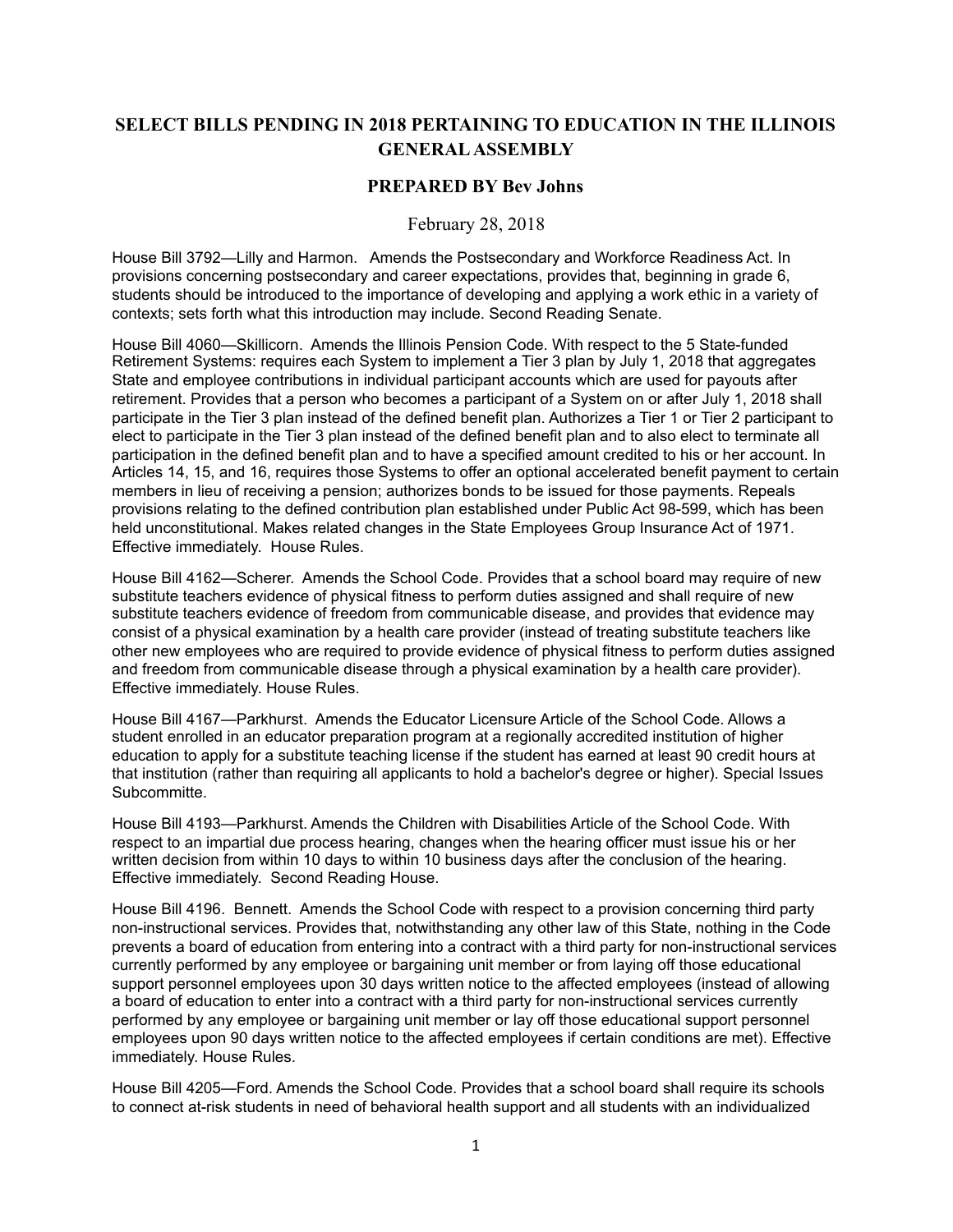## **SELECT BILLS PENDING IN 2018 PERTAINING TO EDUCATION IN THE ILLINOIS GENERAL ASSEMBLY**

## **PREPARED BY Bev Johns**

## February 28, 2018

House Bill 3792—Lilly and Harmon. Amends the Postsecondary and Workforce Readiness Act. In provisions concerning postsecondary and career expectations, provides that, beginning in grade 6, students should be introduced to the importance of developing and applying a work ethic in a variety of contexts; sets forth what this introduction may include. Second Reading Senate.

House Bill 4060—Skillicorn. Amends the Illinois Pension Code. With respect to the 5 State-funded Retirement Systems: requires each System to implement a Tier 3 plan by July 1, 2018 that aggregates State and employee contributions in individual participant accounts which are used for payouts after retirement. Provides that a person who becomes a participant of a System on or after July 1, 2018 shall participate in the Tier 3 plan instead of the defined benefit plan. Authorizes a Tier 1 or Tier 2 participant to elect to participate in the Tier 3 plan instead of the defined benefit plan and to also elect to terminate all participation in the defined benefit plan and to have a specified amount credited to his or her account. In Articles 14, 15, and 16, requires those Systems to offer an optional accelerated benefit payment to certain members in lieu of receiving a pension; authorizes bonds to be issued for those payments. Repeals provisions relating to the defined contribution plan established under Public Act 98-599, which has been held unconstitutional. Makes related changes in the State Employees Group Insurance Act of 1971. Effective immediately. House Rules.

House Bill 4162—Scherer. Amends the School Code. Provides that a school board may require of new substitute teachers evidence of physical fitness to perform duties assigned and shall require of new substitute teachers evidence of freedom from communicable disease, and provides that evidence may consist of a physical examination by a health care provider (instead of treating substitute teachers like other new employees who are required to provide evidence of physical fitness to perform duties assigned and freedom from communicable disease through a physical examination by a health care provider). Effective immediately. House Rules.

House Bill 4167—Parkhurst. Amends the Educator Licensure Article of the School Code. Allows a student enrolled in an educator preparation program at a regionally accredited institution of higher education to apply for a substitute teaching license if the student has earned at least 90 credit hours at that institution (rather than requiring all applicants to hold a bachelor's degree or higher). Special Issues Subcommitte.

House Bill 4193—Parkhurst. Amends the Children with Disabilities Article of the School Code. With respect to an impartial due process hearing, changes when the hearing officer must issue his or her written decision from within 10 days to within 10 business days after the conclusion of the hearing. Effective immediately. Second Reading House.

House Bill 4196. Bennett. Amends the School Code with respect to a provision concerning third party non-instructional services. Provides that, notwithstanding any other law of this State, nothing in the Code prevents a board of education from entering into a contract with a third party for non-instructional services currently performed by any employee or bargaining unit member or from laying off those educational support personnel employees upon 30 days written notice to the affected employees (instead of allowing a board of education to enter into a contract with a third party for non-instructional services currently performed by any employee or bargaining unit member or lay off those educational support personnel employees upon 90 days written notice to the affected employees if certain conditions are met). Effective immediately. House Rules.

House Bill 4205—Ford. Amends the School Code. Provides that a school board shall require its schools to connect at-risk students in need of behavioral health support and all students with an individualized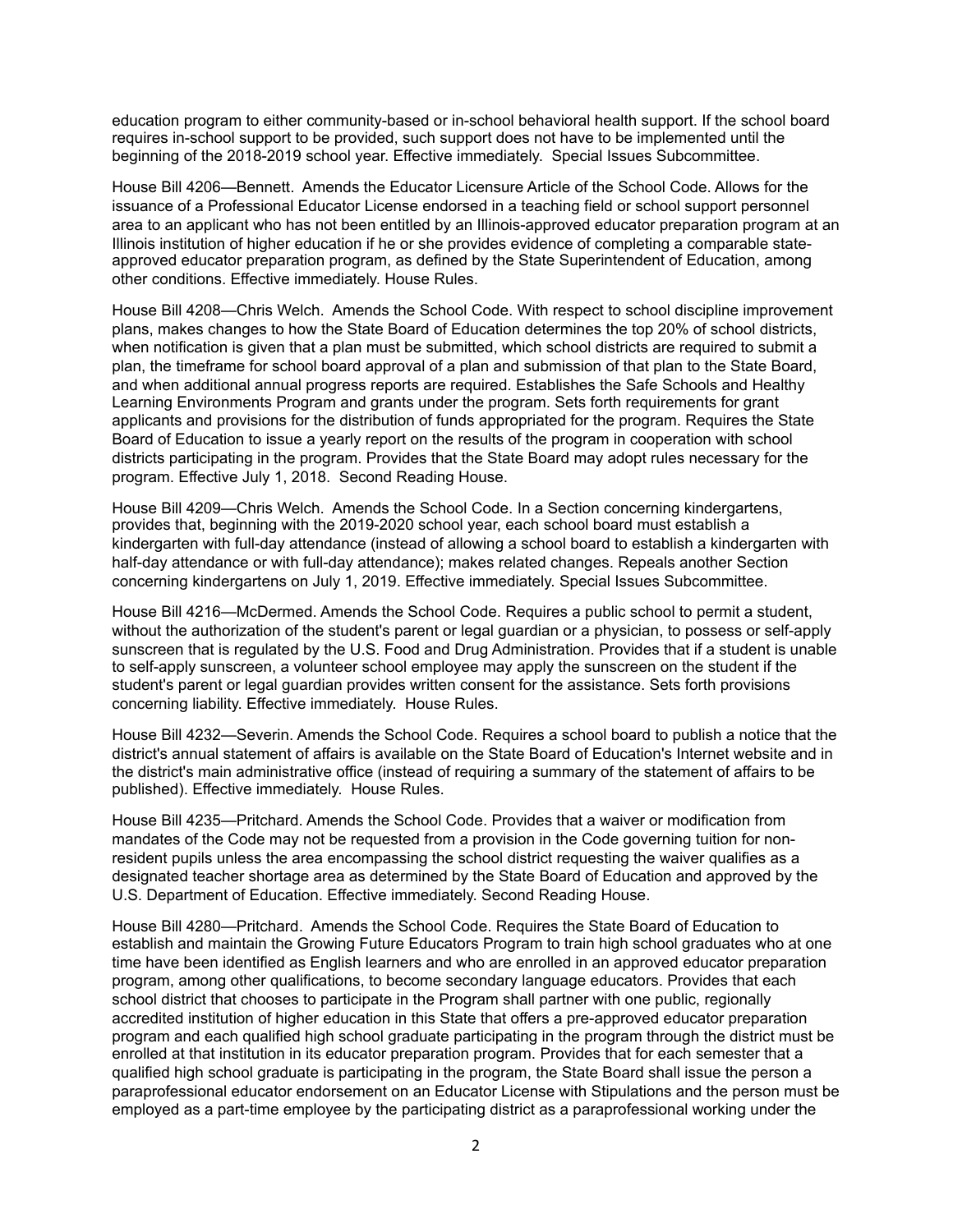education program to either community-based or in-school behavioral health support. If the school board requires in-school support to be provided, such support does not have to be implemented until the beginning of the 2018-2019 school year. Effective immediately. Special Issues Subcommittee.

House Bill 4206—Bennett. Amends the Educator Licensure Article of the School Code. Allows for the issuance of a Professional Educator License endorsed in a teaching field or school support personnel area to an applicant who has not been entitled by an Illinois-approved educator preparation program at an Illinois institution of higher education if he or she provides evidence of completing a comparable stateapproved educator preparation program, as defined by the State Superintendent of Education, among other conditions. Effective immediately. House Rules.

House Bill 4208—Chris Welch. Amends the School Code. With respect to school discipline improvement plans, makes changes to how the State Board of Education determines the top 20% of school districts, when notification is given that a plan must be submitted, which school districts are required to submit a plan, the timeframe for school board approval of a plan and submission of that plan to the State Board, and when additional annual progress reports are required. Establishes the Safe Schools and Healthy Learning Environments Program and grants under the program. Sets forth requirements for grant applicants and provisions for the distribution of funds appropriated for the program. Requires the State Board of Education to issue a yearly report on the results of the program in cooperation with school districts participating in the program. Provides that the State Board may adopt rules necessary for the program. Effective July 1, 2018. Second Reading House.

House Bill 4209—Chris Welch. Amends the School Code. In a Section concerning kindergartens, provides that, beginning with the 2019-2020 school year, each school board must establish a kindergarten with full-day attendance (instead of allowing a school board to establish a kindergarten with half-day attendance or with full-day attendance); makes related changes. Repeals another Section concerning kindergartens on July 1, 2019. Effective immediately. Special Issues Subcommittee.

House Bill 4216—McDermed. Amends the School Code. Requires a public school to permit a student, without the authorization of the student's parent or legal guardian or a physician, to possess or self-apply sunscreen that is regulated by the U.S. Food and Drug Administration. Provides that if a student is unable to self-apply sunscreen, a volunteer school employee may apply the sunscreen on the student if the student's parent or legal guardian provides written consent for the assistance. Sets forth provisions concerning liability. Effective immediately. House Rules.

House Bill 4232—Severin. Amends the School Code. Requires a school board to publish a notice that the district's annual statement of affairs is available on the State Board of Education's Internet website and in the district's main administrative office (instead of requiring a summary of the statement of affairs to be published). Effective immediately. House Rules.

House Bill 4235—Pritchard. Amends the School Code. Provides that a waiver or modification from mandates of the Code may not be requested from a provision in the Code governing tuition for nonresident pupils unless the area encompassing the school district requesting the waiver qualifies as a designated teacher shortage area as determined by the State Board of Education and approved by the U.S. Department of Education. Effective immediately. Second Reading House.

House Bill 4280—Pritchard. Amends the School Code. Requires the State Board of Education to establish and maintain the Growing Future Educators Program to train high school graduates who at one time have been identified as English learners and who are enrolled in an approved educator preparation program, among other qualifications, to become secondary language educators. Provides that each school district that chooses to participate in the Program shall partner with one public, regionally accredited institution of higher education in this State that offers a pre-approved educator preparation program and each qualified high school graduate participating in the program through the district must be enrolled at that institution in its educator preparation program. Provides that for each semester that a qualified high school graduate is participating in the program, the State Board shall issue the person a paraprofessional educator endorsement on an Educator License with Stipulations and the person must be employed as a part-time employee by the participating district as a paraprofessional working under the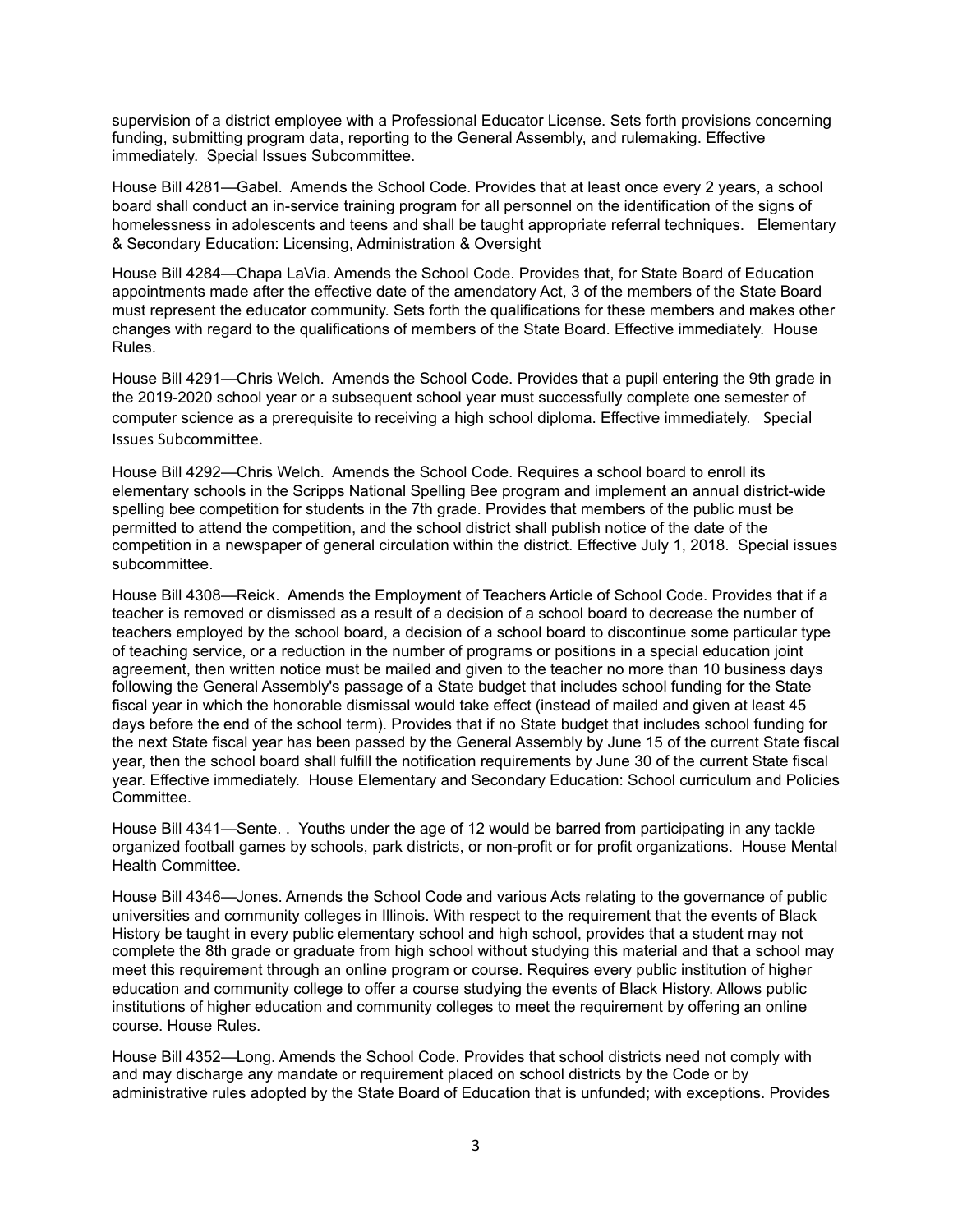supervision of a district employee with a Professional Educator License. Sets forth provisions concerning funding, submitting program data, reporting to the General Assembly, and rulemaking. Effective immediately. Special Issues Subcommittee.

House Bill 4281—Gabel. Amends the School Code. Provides that at least once every 2 years, a school board shall conduct an in-service training program for all personnel on the identification of the signs of homelessness in adolescents and teens and shall be taught appropriate referral techniques. [Elementary](http://www.ilga.gov/house/committees/members.asp?committeeID=1973)  [& Secondary Education: Licensing, Administration & Oversight](http://www.ilga.gov/house/committees/members.asp?committeeID=1973) 

House Bill 4284—Chapa LaVia. Amends the School Code. Provides that, for State Board of Education appointments made after the effective date of the amendatory Act, 3 of the members of the State Board must represent the educator community. Sets forth the qualifications for these members and makes other changes with regard to the qualifications of members of the State Board. Effective immediately. House Rules.

House Bill 4291—Chris Welch. Amends the School Code. Provides that a pupil entering the 9th grade in the 2019-2020 school year or a subsequent school year must successfully complete one semester of computer science as a prerequisite to receiving a high school diploma. Effective immediately. Special Issues Subcommittee.

House Bill 4292—Chris Welch. Amends the School Code. Requires a school board to enroll its elementary schools in the Scripps National Spelling Bee program and implement an annual district-wide spelling bee competition for students in the 7th grade. Provides that members of the public must be permitted to attend the competition, and the school district shall publish notice of the date of the competition in a newspaper of general circulation within the district. Effective July 1, 2018. Special issues subcommittee.

House Bill 4308—Reick. Amends the Employment of Teachers Article of School Code. Provides that if a teacher is removed or dismissed as a result of a decision of a school board to decrease the number of teachers employed by the school board, a decision of a school board to discontinue some particular type of teaching service, or a reduction in the number of programs or positions in a special education joint agreement, then written notice must be mailed and given to the teacher no more than 10 business days following the General Assembly's passage of a State budget that includes school funding for the State fiscal year in which the honorable dismissal would take effect (instead of mailed and given at least 45 days before the end of the school term). Provides that if no State budget that includes school funding for the next State fiscal year has been passed by the General Assembly by June 15 of the current State fiscal year, then the school board shall fulfill the notification requirements by June 30 of the current State fiscal year. Effective immediately. House Elementary and Secondary Education: School curriculum and Policies Committee.

House Bill 4341—Sente. . Youths under the age of 12 would be barred from participating in any tackle organized football games by schools, park districts, or non-profit or for profit organizations. House Mental Health Committee.

House Bill 4346—Jones. Amends the School Code and various Acts relating to the governance of public universities and community colleges in Illinois. With respect to the requirement that the events of Black History be taught in every public elementary school and high school, provides that a student may not complete the 8th grade or graduate from high school without studying this material and that a school may meet this requirement through an online program or course. Requires every public institution of higher education and community college to offer a course studying the events of Black History. Allows public institutions of higher education and community colleges to meet the requirement by offering an online course. House Rules.

House Bill 4352—Long. Amends the School Code. Provides that school districts need not comply with and may discharge any mandate or requirement placed on school districts by the Code or by administrative rules adopted by the State Board of Education that is unfunded; with exceptions. Provides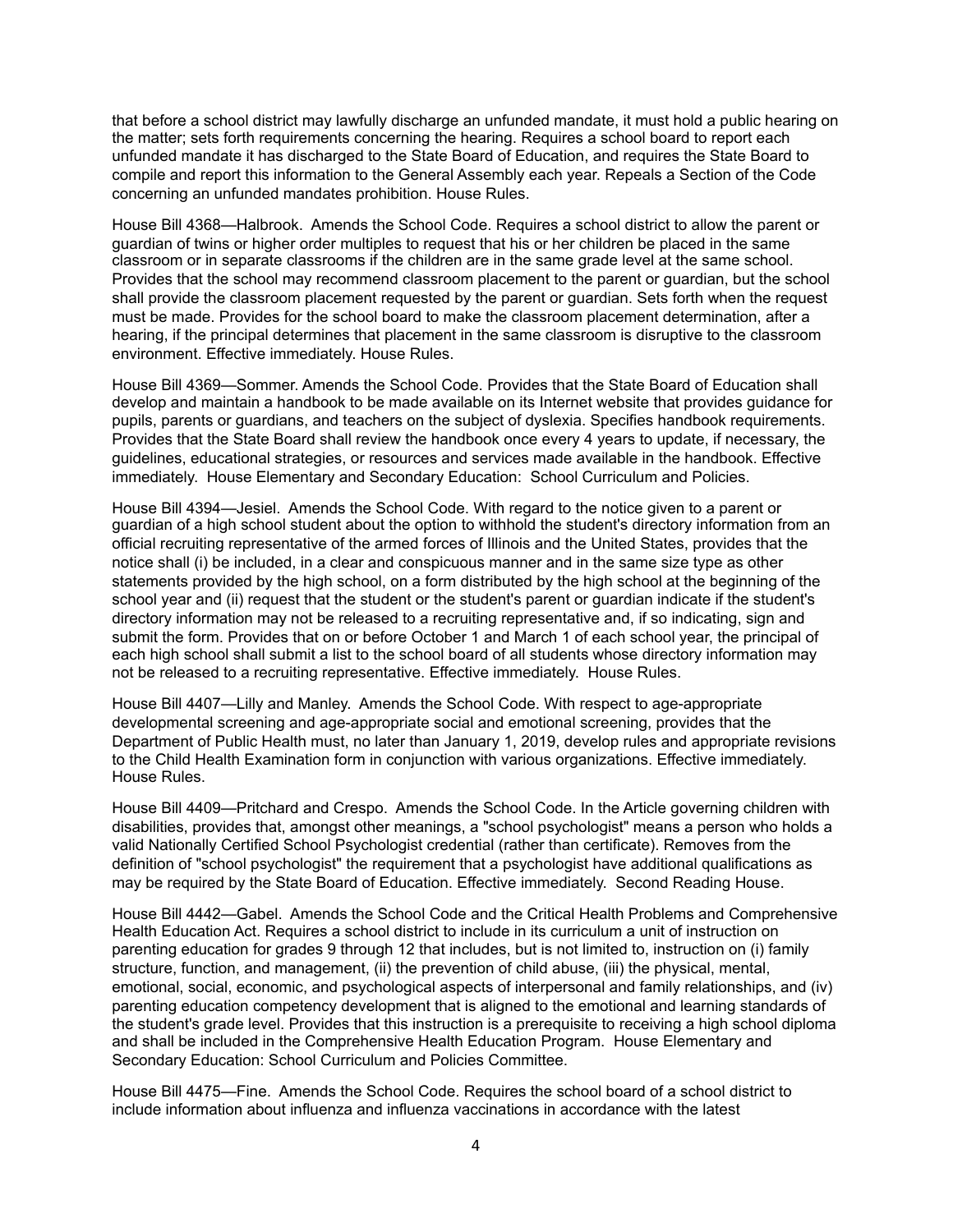that before a school district may lawfully discharge an unfunded mandate, it must hold a public hearing on the matter; sets forth requirements concerning the hearing. Requires a school board to report each unfunded mandate it has discharged to the State Board of Education, and requires the State Board to compile and report this information to the General Assembly each year. Repeals a Section of the Code concerning an unfunded mandates prohibition. House Rules.

House Bill 4368—Halbrook. Amends the School Code. Requires a school district to allow the parent or guardian of twins or higher order multiples to request that his or her children be placed in the same classroom or in separate classrooms if the children are in the same grade level at the same school. Provides that the school may recommend classroom placement to the parent or guardian, but the school shall provide the classroom placement requested by the parent or guardian. Sets forth when the request must be made. Provides for the school board to make the classroom placement determination, after a hearing, if the principal determines that placement in the same classroom is disruptive to the classroom environment. Effective immediately. House Rules.

House Bill 4369—Sommer. Amends the School Code. Provides that the State Board of Education shall develop and maintain a handbook to be made available on its Internet website that provides guidance for pupils, parents or guardians, and teachers on the subject of dyslexia. Specifies handbook requirements. Provides that the State Board shall review the handbook once every 4 years to update, if necessary, the guidelines, educational strategies, or resources and services made available in the handbook. Effective immediately. House Elementary and Secondary Education: School Curriculum and Policies.

House Bill 4394—Jesiel. Amends the School Code. With regard to the notice given to a parent or guardian of a high school student about the option to withhold the student's directory information from an official recruiting representative of the armed forces of Illinois and the United States, provides that the notice shall (i) be included, in a clear and conspicuous manner and in the same size type as other statements provided by the high school, on a form distributed by the high school at the beginning of the school year and (ii) request that the student or the student's parent or guardian indicate if the student's directory information may not be released to a recruiting representative and, if so indicating, sign and submit the form. Provides that on or before October 1 and March 1 of each school year, the principal of each high school shall submit a list to the school board of all students whose directory information may not be released to a recruiting representative. Effective immediately. House Rules.

House Bill 4407—Lilly and Manley. Amends the School Code. With respect to age-appropriate developmental screening and age-appropriate social and emotional screening, provides that the Department of Public Health must, no later than January 1, 2019, develop rules and appropriate revisions to the Child Health Examination form in conjunction with various organizations. Effective immediately. House Rules.

House Bill 4409—Pritchard and Crespo. Amends the School Code. In the Article governing children with disabilities, provides that, amongst other meanings, a "school psychologist" means a person who holds a valid Nationally Certified School Psychologist credential (rather than certificate). Removes from the definition of "school psychologist" the requirement that a psychologist have additional qualifications as may be required by the State Board of Education. Effective immediately. Second Reading House.

House Bill 4442—Gabel. Amends the School Code and the Critical Health Problems and Comprehensive Health Education Act. Requires a school district to include in its curriculum a unit of instruction on parenting education for grades 9 through 12 that includes, but is not limited to, instruction on (i) family structure, function, and management, (ii) the prevention of child abuse, (iii) the physical, mental, emotional, social, economic, and psychological aspects of interpersonal and family relationships, and (iv) parenting education competency development that is aligned to the emotional and learning standards of the student's grade level. Provides that this instruction is a prerequisite to receiving a high school diploma and shall be included in the Comprehensive Health Education Program. House Elementary and Secondary Education: School Curriculum and Policies Committee.

House Bill 4475—Fine. Amends the School Code. Requires the school board of a school district to include information about influenza and influenza vaccinations in accordance with the latest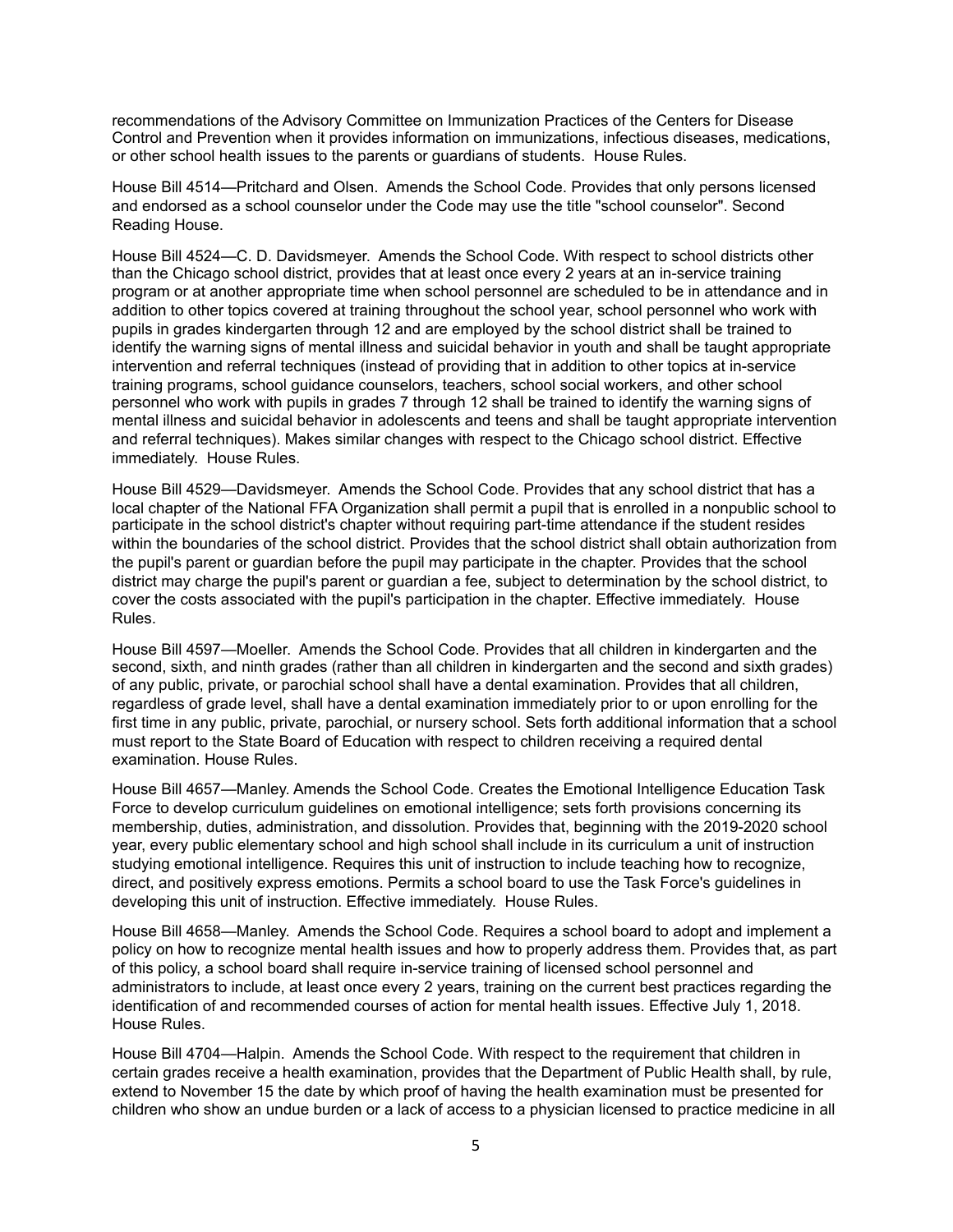recommendations of the Advisory Committee on Immunization Practices of the Centers for Disease Control and Prevention when it provides information on immunizations, infectious diseases, medications, or other school health issues to the parents or guardians of students. House Rules.

House Bill 4514—Pritchard and Olsen. Amends the School Code. Provides that only persons licensed and endorsed as a school counselor under the Code may use the title "school counselor". Second Reading House.

House Bill 4524—C. D. Davidsmeyer. Amends the School Code. With respect to school districts other than the Chicago school district, provides that at least once every 2 years at an in-service training program or at another appropriate time when school personnel are scheduled to be in attendance and in addition to other topics covered at training throughout the school year, school personnel who work with pupils in grades kindergarten through 12 and are employed by the school district shall be trained to identify the warning signs of mental illness and suicidal behavior in youth and shall be taught appropriate intervention and referral techniques (instead of providing that in addition to other topics at in-service training programs, school guidance counselors, teachers, school social workers, and other school personnel who work with pupils in grades 7 through 12 shall be trained to identify the warning signs of mental illness and suicidal behavior in adolescents and teens and shall be taught appropriate intervention and referral techniques). Makes similar changes with respect to the Chicago school district. Effective immediately. House Rules.

House Bill 4529—Davidsmeyer. Amends the School Code. Provides that any school district that has a local chapter of the National FFA Organization shall permit a pupil that is enrolled in a nonpublic school to participate in the school district's chapter without requiring part-time attendance if the student resides within the boundaries of the school district. Provides that the school district shall obtain authorization from the pupil's parent or guardian before the pupil may participate in the chapter. Provides that the school district may charge the pupil's parent or guardian a fee, subject to determination by the school district, to cover the costs associated with the pupil's participation in the chapter. Effective immediately. House Rules.

House Bill 4597—Moeller. Amends the School Code. Provides that all children in kindergarten and the second, sixth, and ninth grades (rather than all children in kindergarten and the second and sixth grades) of any public, private, or parochial school shall have a dental examination. Provides that all children, regardless of grade level, shall have a dental examination immediately prior to or upon enrolling for the first time in any public, private, parochial, or nursery school. Sets forth additional information that a school must report to the State Board of Education with respect to children receiving a required dental examination. House Rules.

House Bill 4657—Manley. Amends the School Code. Creates the Emotional Intelligence Education Task Force to develop curriculum guidelines on emotional intelligence; sets forth provisions concerning its membership, duties, administration, and dissolution. Provides that, beginning with the 2019-2020 school year, every public elementary school and high school shall include in its curriculum a unit of instruction studying emotional intelligence. Requires this unit of instruction to include teaching how to recognize, direct, and positively express emotions. Permits a school board to use the Task Force's guidelines in developing this unit of instruction. Effective immediately. House Rules.

House Bill 4658—Manley. Amends the School Code. Requires a school board to adopt and implement a policy on how to recognize mental health issues and how to properly address them. Provides that, as part of this policy, a school board shall require in-service training of licensed school personnel and administrators to include, at least once every 2 years, training on the current best practices regarding the identification of and recommended courses of action for mental health issues. Effective July 1, 2018. House Rules.

House Bill 4704—Halpin. Amends the School Code. With respect to the requirement that children in certain grades receive a health examination, provides that the Department of Public Health shall, by rule, extend to November 15 the date by which proof of having the health examination must be presented for children who show an undue burden or a lack of access to a physician licensed to practice medicine in all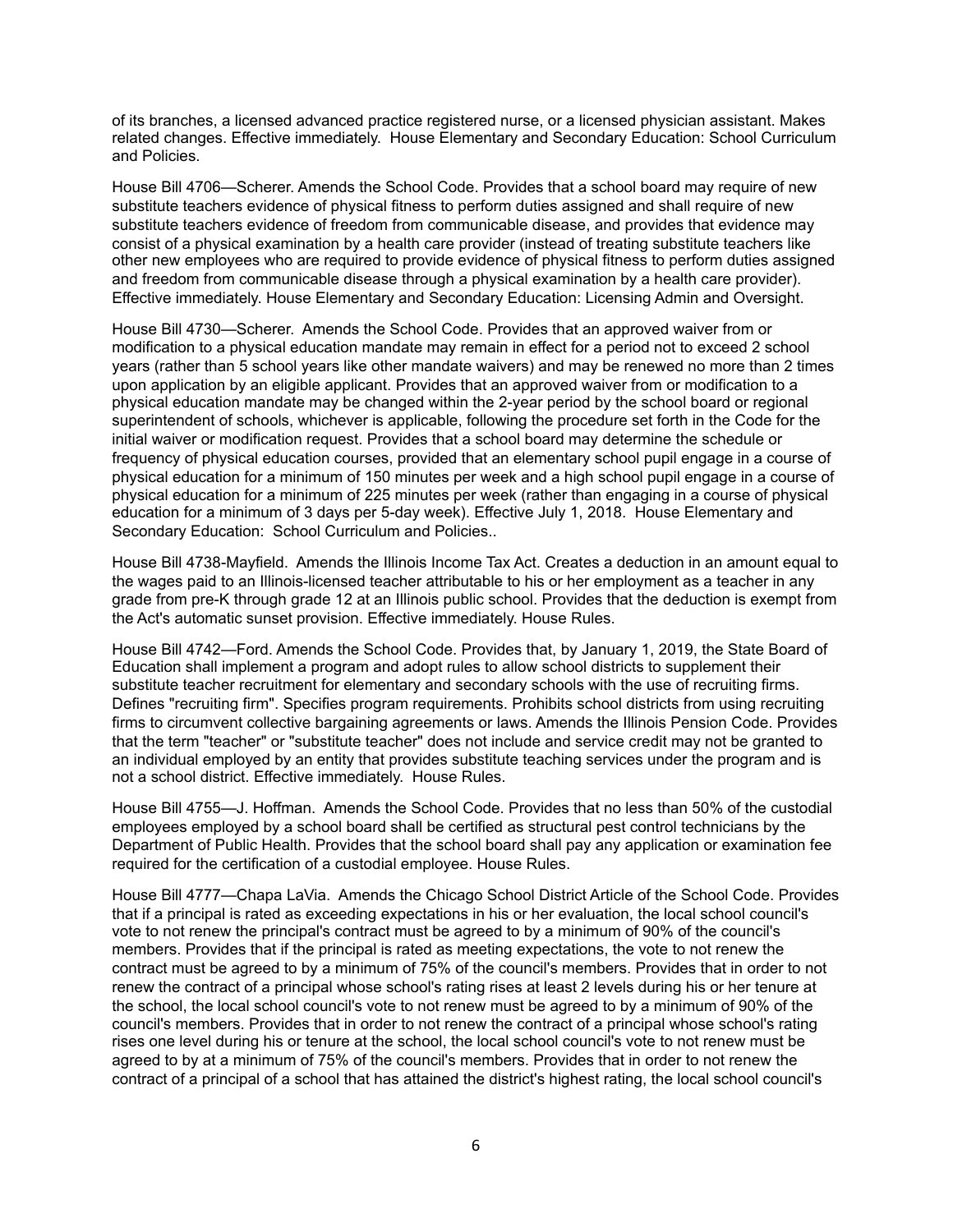of its branches, a licensed advanced practice registered nurse, or a licensed physician assistant. Makes related changes. Effective immediately. House Elementary and Secondary Education: School Curriculum and Policies.

House Bill 4706—Scherer. Amends the School Code. Provides that a school board may require of new substitute teachers evidence of physical fitness to perform duties assigned and shall require of new substitute teachers evidence of freedom from communicable disease, and provides that evidence may consist of a physical examination by a health care provider (instead of treating substitute teachers like other new employees who are required to provide evidence of physical fitness to perform duties assigned and freedom from communicable disease through a physical examination by a health care provider). Effective immediately. House Elementary and Secondary Education: Licensing Admin and Oversight.

House Bill 4730—Scherer. Amends the School Code. Provides that an approved waiver from or modification to a physical education mandate may remain in effect for a period not to exceed 2 school years (rather than 5 school years like other mandate waivers) and may be renewed no more than 2 times upon application by an eligible applicant. Provides that an approved waiver from or modification to a physical education mandate may be changed within the 2-year period by the school board or regional superintendent of schools, whichever is applicable, following the procedure set forth in the Code for the initial waiver or modification request. Provides that a school board may determine the schedule or frequency of physical education courses, provided that an elementary school pupil engage in a course of physical education for a minimum of 150 minutes per week and a high school pupil engage in a course of physical education for a minimum of 225 minutes per week (rather than engaging in a course of physical education for a minimum of 3 days per 5-day week). Effective July 1, 2018. House Elementary and Secondary Education: School Curriculum and Policies..

House Bill 4738-Mayfield. Amends the Illinois Income Tax Act. Creates a deduction in an amount equal to the wages paid to an Illinois-licensed teacher attributable to his or her employment as a teacher in any grade from pre-K through grade 12 at an Illinois public school. Provides that the deduction is exempt from the Act's automatic sunset provision. Effective immediately. House Rules.

House Bill 4742—Ford. Amends the School Code. Provides that, by January 1, 2019, the State Board of Education shall implement a program and adopt rules to allow school districts to supplement their substitute teacher recruitment for elementary and secondary schools with the use of recruiting firms. Defines "recruiting firm". Specifies program requirements. Prohibits school districts from using recruiting firms to circumvent collective bargaining agreements or laws. Amends the Illinois Pension Code. Provides that the term "teacher" or "substitute teacher" does not include and service credit may not be granted to an individual employed by an entity that provides substitute teaching services under the program and is not a school district. Effective immediately. House Rules.

House Bill 4755—J. Hoffman. Amends the School Code. Provides that no less than 50% of the custodial employees employed by a school board shall be certified as structural pest control technicians by the Department of Public Health. Provides that the school board shall pay any application or examination fee required for the certification of a custodial employee. House Rules.

House Bill 4777—Chapa LaVia. Amends the Chicago School District Article of the School Code. Provides that if a principal is rated as exceeding expectations in his or her evaluation, the local school council's vote to not renew the principal's contract must be agreed to by a minimum of 90% of the council's members. Provides that if the principal is rated as meeting expectations, the vote to not renew the contract must be agreed to by a minimum of 75% of the council's members. Provides that in order to not renew the contract of a principal whose school's rating rises at least 2 levels during his or her tenure at the school, the local school council's vote to not renew must be agreed to by a minimum of 90% of the council's members. Provides that in order to not renew the contract of a principal whose school's rating rises one level during his or tenure at the school, the local school council's vote to not renew must be agreed to by at a minimum of 75% of the council's members. Provides that in order to not renew the contract of a principal of a school that has attained the district's highest rating, the local school council's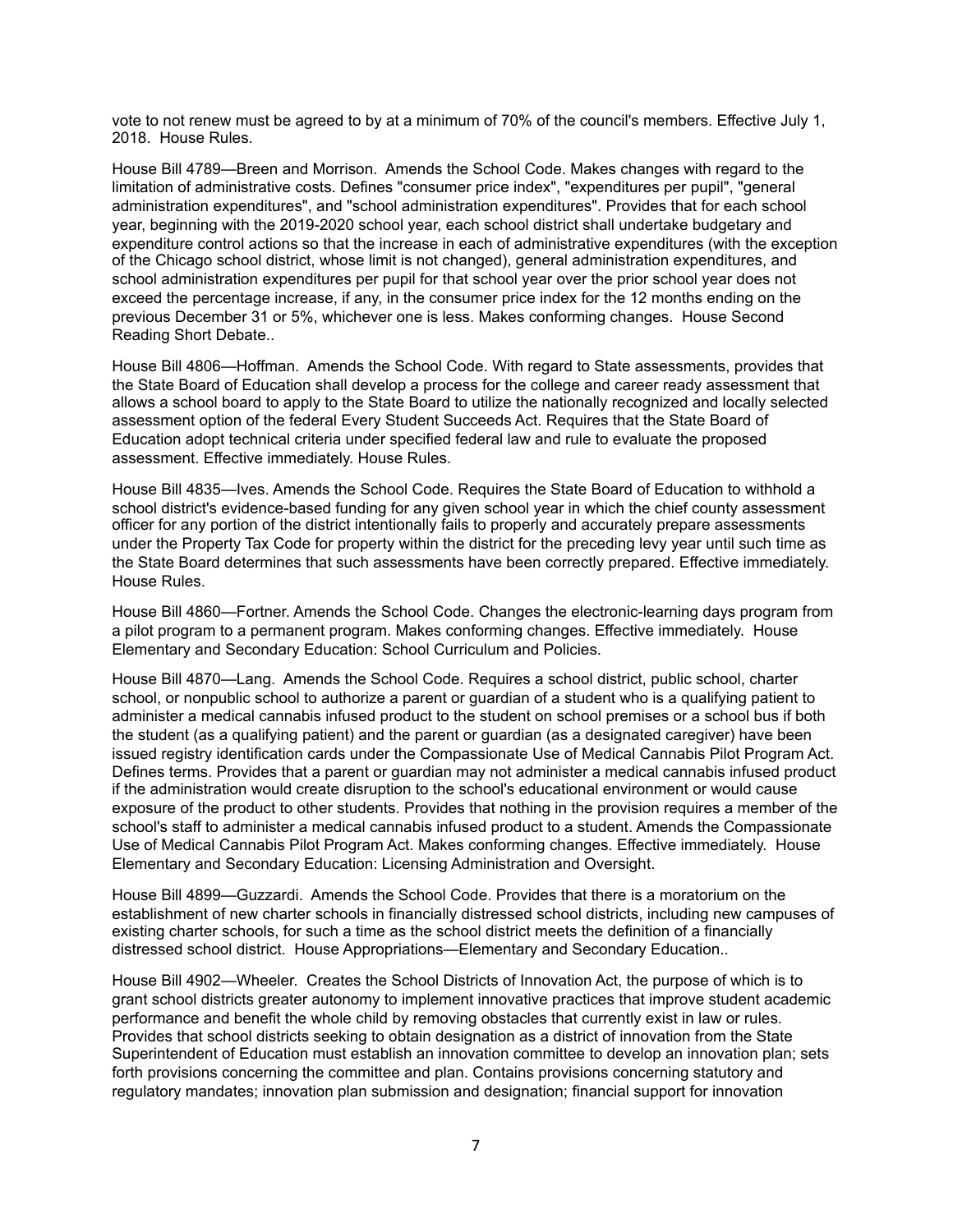vote to not renew must be agreed to by at a minimum of 70% of the council's members. Effective July 1, 2018. House Rules.

House Bill 4789—Breen and Morrison. Amends the School Code. Makes changes with regard to the limitation of administrative costs. Defines "consumer price index", "expenditures per pupil", "general administration expenditures", and "school administration expenditures". Provides that for each school year, beginning with the 2019-2020 school year, each school district shall undertake budgetary and expenditure control actions so that the increase in each of administrative expenditures (with the exception of the Chicago school district, whose limit is not changed), general administration expenditures, and school administration expenditures per pupil for that school year over the prior school year does not exceed the percentage increase, if any, in the consumer price index for the 12 months ending on the previous December 31 or 5%, whichever one is less. Makes conforming changes. House Second Reading Short Debate..

House Bill 4806—Hoffman. Amends the School Code. With regard to State assessments, provides that the State Board of Education shall develop a process for the college and career ready assessment that allows a school board to apply to the State Board to utilize the nationally recognized and locally selected assessment option of the federal Every Student Succeeds Act. Requires that the State Board of Education adopt technical criteria under specified federal law and rule to evaluate the proposed assessment. Effective immediately. House Rules.

House Bill 4835—Ives. Amends the School Code. Requires the State Board of Education to withhold a school district's evidence-based funding for any given school year in which the chief county assessment officer for any portion of the district intentionally fails to properly and accurately prepare assessments under the Property Tax Code for property within the district for the preceding levy year until such time as the State Board determines that such assessments have been correctly prepared. Effective immediately. House Rules.

House Bill 4860—Fortner. Amends the School Code. Changes the electronic-learning days program from a pilot program to a permanent program. Makes conforming changes. Effective immediately. House Elementary and Secondary Education: School Curriculum and Policies.

House Bill 4870—Lang. Amends the School Code. Requires a school district, public school, charter school, or nonpublic school to authorize a parent or guardian of a student who is a qualifying patient to administer a medical cannabis infused product to the student on school premises or a school bus if both the student (as a qualifying patient) and the parent or guardian (as a designated caregiver) have been issued registry identification cards under the Compassionate Use of Medical Cannabis Pilot Program Act. Defines terms. Provides that a parent or guardian may not administer a medical cannabis infused product if the administration would create disruption to the school's educational environment or would cause exposure of the product to other students. Provides that nothing in the provision requires a member of the school's staff to administer a medical cannabis infused product to a student. Amends the Compassionate Use of Medical Cannabis Pilot Program Act. Makes conforming changes. Effective immediately. House Elementary and Secondary Education: Licensing Administration and Oversight.

House Bill 4899—Guzzardi. Amends the School Code. Provides that there is a moratorium on the establishment of new charter schools in financially distressed school districts, including new campuses of existing charter schools, for such a time as the school district meets the definition of a financially distressed school district. House Appropriations—Elementary and Secondary Education..

House Bill 4902—Wheeler. Creates the School Districts of Innovation Act, the purpose of which is to grant school districts greater autonomy to implement innovative practices that improve student academic performance and benefit the whole child by removing obstacles that currently exist in law or rules. Provides that school districts seeking to obtain designation as a district of innovation from the State Superintendent of Education must establish an innovation committee to develop an innovation plan; sets forth provisions concerning the committee and plan. Contains provisions concerning statutory and regulatory mandates; innovation plan submission and designation; financial support for innovation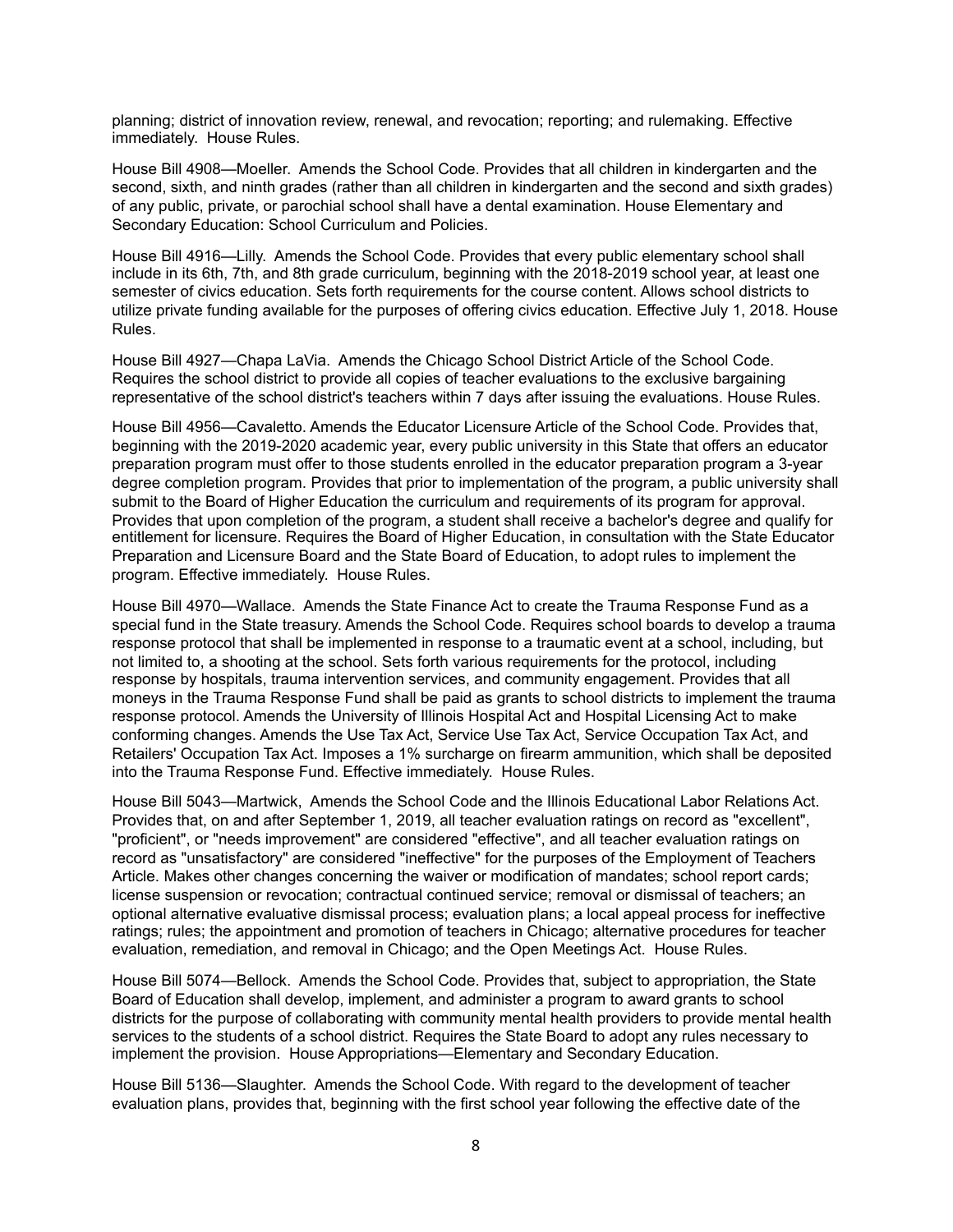planning; district of innovation review, renewal, and revocation; reporting; and rulemaking. Effective immediately. House Rules.

House Bill 4908—Moeller. Amends the School Code. Provides that all children in kindergarten and the second, sixth, and ninth grades (rather than all children in kindergarten and the second and sixth grades) of any public, private, or parochial school shall have a dental examination. House Elementary and Secondary Education: School Curriculum and Policies.

House Bill 4916—Lilly. Amends the School Code. Provides that every public elementary school shall include in its 6th, 7th, and 8th grade curriculum, beginning with the 2018-2019 school year, at least one semester of civics education. Sets forth requirements for the course content. Allows school districts to utilize private funding available for the purposes of offering civics education. Effective July 1, 2018. House Rules.

House Bill 4927—Chapa LaVia. Amends the Chicago School District Article of the School Code. Requires the school district to provide all copies of teacher evaluations to the exclusive bargaining representative of the school district's teachers within 7 days after issuing the evaluations. House Rules.

House Bill 4956—Cavaletto. Amends the Educator Licensure Article of the School Code. Provides that, beginning with the 2019-2020 academic year, every public university in this State that offers an educator preparation program must offer to those students enrolled in the educator preparation program a 3-year degree completion program. Provides that prior to implementation of the program, a public university shall submit to the Board of Higher Education the curriculum and requirements of its program for approval. Provides that upon completion of the program, a student shall receive a bachelor's degree and qualify for entitlement for licensure. Requires the Board of Higher Education, in consultation with the State Educator Preparation and Licensure Board and the State Board of Education, to adopt rules to implement the program. Effective immediately. House Rules.

House Bill 4970—Wallace. Amends the State Finance Act to create the Trauma Response Fund as a special fund in the State treasury. Amends the School Code. Requires school boards to develop a trauma response protocol that shall be implemented in response to a traumatic event at a school, including, but not limited to, a shooting at the school. Sets forth various requirements for the protocol, including response by hospitals, trauma intervention services, and community engagement. Provides that all moneys in the Trauma Response Fund shall be paid as grants to school districts to implement the trauma response protocol. Amends the University of Illinois Hospital Act and Hospital Licensing Act to make conforming changes. Amends the Use Tax Act, Service Use Tax Act, Service Occupation Tax Act, and Retailers' Occupation Tax Act. Imposes a 1% surcharge on firearm ammunition, which shall be deposited into the Trauma Response Fund. Effective immediately. House Rules.

House Bill 5043—Martwick, Amends the School Code and the Illinois Educational Labor Relations Act. Provides that, on and after September 1, 2019, all teacher evaluation ratings on record as "excellent", "proficient", or "needs improvement" are considered "effective", and all teacher evaluation ratings on record as "unsatisfactory" are considered "ineffective" for the purposes of the Employment of Teachers Article. Makes other changes concerning the waiver or modification of mandates; school report cards; license suspension or revocation; contractual continued service; removal or dismissal of teachers; an optional alternative evaluative dismissal process; evaluation plans; a local appeal process for ineffective ratings; rules; the appointment and promotion of teachers in Chicago; alternative procedures for teacher evaluation, remediation, and removal in Chicago; and the Open Meetings Act. House Rules.

House Bill 5074—Bellock. Amends the School Code. Provides that, subject to appropriation, the State Board of Education shall develop, implement, and administer a program to award grants to school districts for the purpose of collaborating with community mental health providers to provide mental health services to the students of a school district. Requires the State Board to adopt any rules necessary to implement the provision. House Appropriations—Elementary and Secondary Education.

House Bill 5136—Slaughter. Amends the School Code. With regard to the development of teacher evaluation plans, provides that, beginning with the first school year following the effective date of the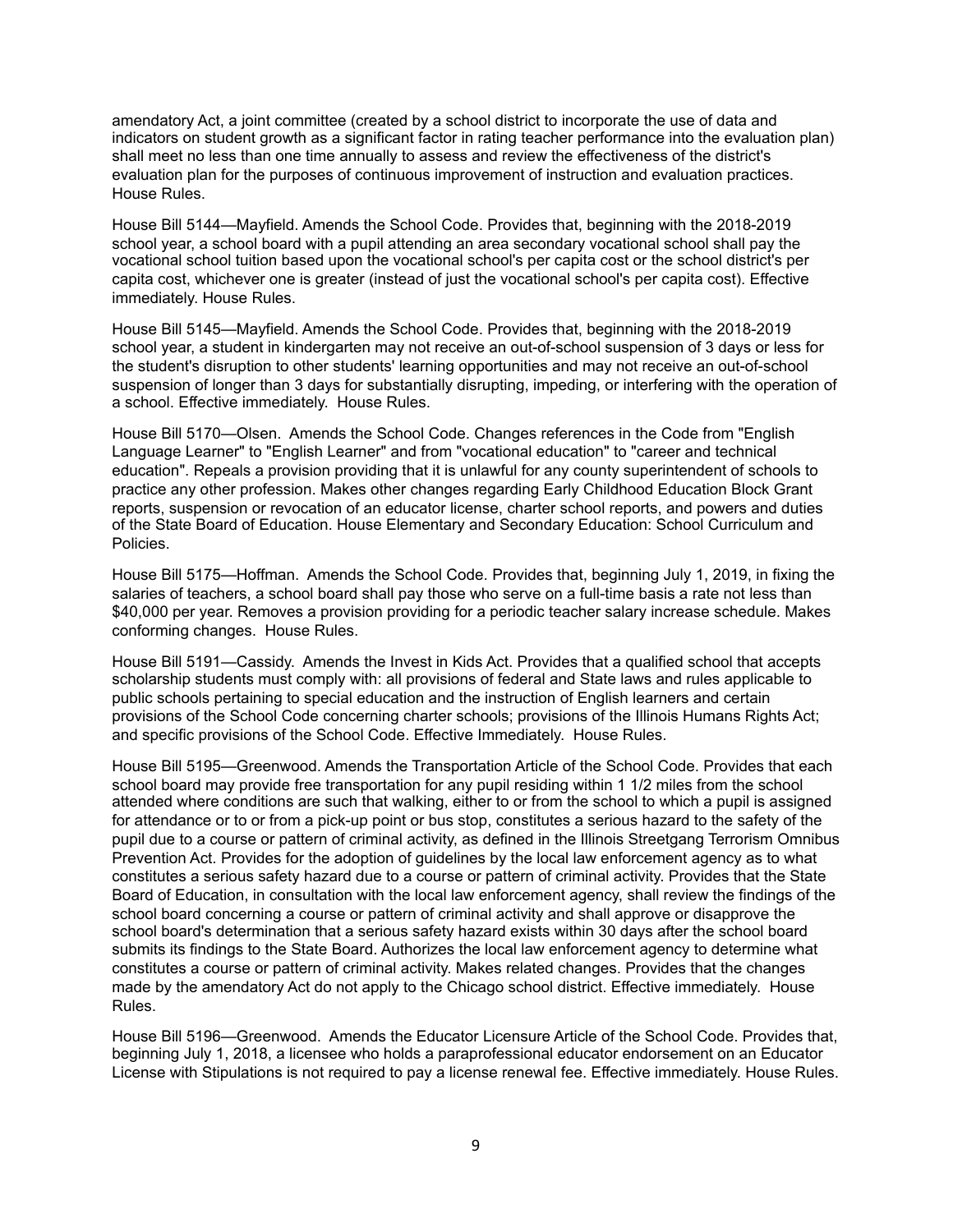amendatory Act, a joint committee (created by a school district to incorporate the use of data and indicators on student growth as a significant factor in rating teacher performance into the evaluation plan) shall meet no less than one time annually to assess and review the effectiveness of the district's evaluation plan for the purposes of continuous improvement of instruction and evaluation practices. House Rules.

House Bill 5144—Mayfield. Amends the School Code. Provides that, beginning with the 2018-2019 school year, a school board with a pupil attending an area secondary vocational school shall pay the vocational school tuition based upon the vocational school's per capita cost or the school district's per capita cost, whichever one is greater (instead of just the vocational school's per capita cost). Effective immediately. House Rules.

House Bill 5145—Mayfield. Amends the School Code. Provides that, beginning with the 2018-2019 school year, a student in kindergarten may not receive an out-of-school suspension of 3 days or less for the student's disruption to other students' learning opportunities and may not receive an out-of-school suspension of longer than 3 days for substantially disrupting, impeding, or interfering with the operation of a school. Effective immediately. House Rules.

House Bill 5170—Olsen. Amends the School Code. Changes references in the Code from "English Language Learner" to "English Learner" and from "vocational education" to "career and technical education". Repeals a provision providing that it is unlawful for any county superintendent of schools to practice any other profession. Makes other changes regarding Early Childhood Education Block Grant reports, suspension or revocation of an educator license, charter school reports, and powers and duties of the State Board of Education. House Elementary and Secondary Education: School Curriculum and Policies.

House Bill 5175—Hoffman. Amends the School Code. Provides that, beginning July 1, 2019, in fixing the salaries of teachers, a school board shall pay those who serve on a full-time basis a rate not less than \$40,000 per year. Removes a provision providing for a periodic teacher salary increase schedule. Makes conforming changes. House Rules.

House Bill 5191—Cassidy. Amends the Invest in Kids Act. Provides that a qualified school that accepts scholarship students must comply with: all provisions of federal and State laws and rules applicable to public schools pertaining to special education and the instruction of English learners and certain provisions of the School Code concerning charter schools; provisions of the Illinois Humans Rights Act; and specific provisions of the School Code. Effective Immediately. House Rules.

House Bill 5195—Greenwood. Amends the Transportation Article of the School Code. Provides that each school board may provide free transportation for any pupil residing within 1 1/2 miles from the school attended where conditions are such that walking, either to or from the school to which a pupil is assigned for attendance or to or from a pick-up point or bus stop, constitutes a serious hazard to the safety of the pupil due to a course or pattern of criminal activity, as defined in the Illinois Streetgang Terrorism Omnibus Prevention Act. Provides for the adoption of guidelines by the local law enforcement agency as to what constitutes a serious safety hazard due to a course or pattern of criminal activity. Provides that the State Board of Education, in consultation with the local law enforcement agency, shall review the findings of the school board concerning a course or pattern of criminal activity and shall approve or disapprove the school board's determination that a serious safety hazard exists within 30 days after the school board submits its findings to the State Board. Authorizes the local law enforcement agency to determine what constitutes a course or pattern of criminal activity. Makes related changes. Provides that the changes made by the amendatory Act do not apply to the Chicago school district. Effective immediately. House Rules.

House Bill 5196—Greenwood. Amends the Educator Licensure Article of the School Code. Provides that, beginning July 1, 2018, a licensee who holds a paraprofessional educator endorsement on an Educator License with Stipulations is not required to pay a license renewal fee. Effective immediately. House Rules.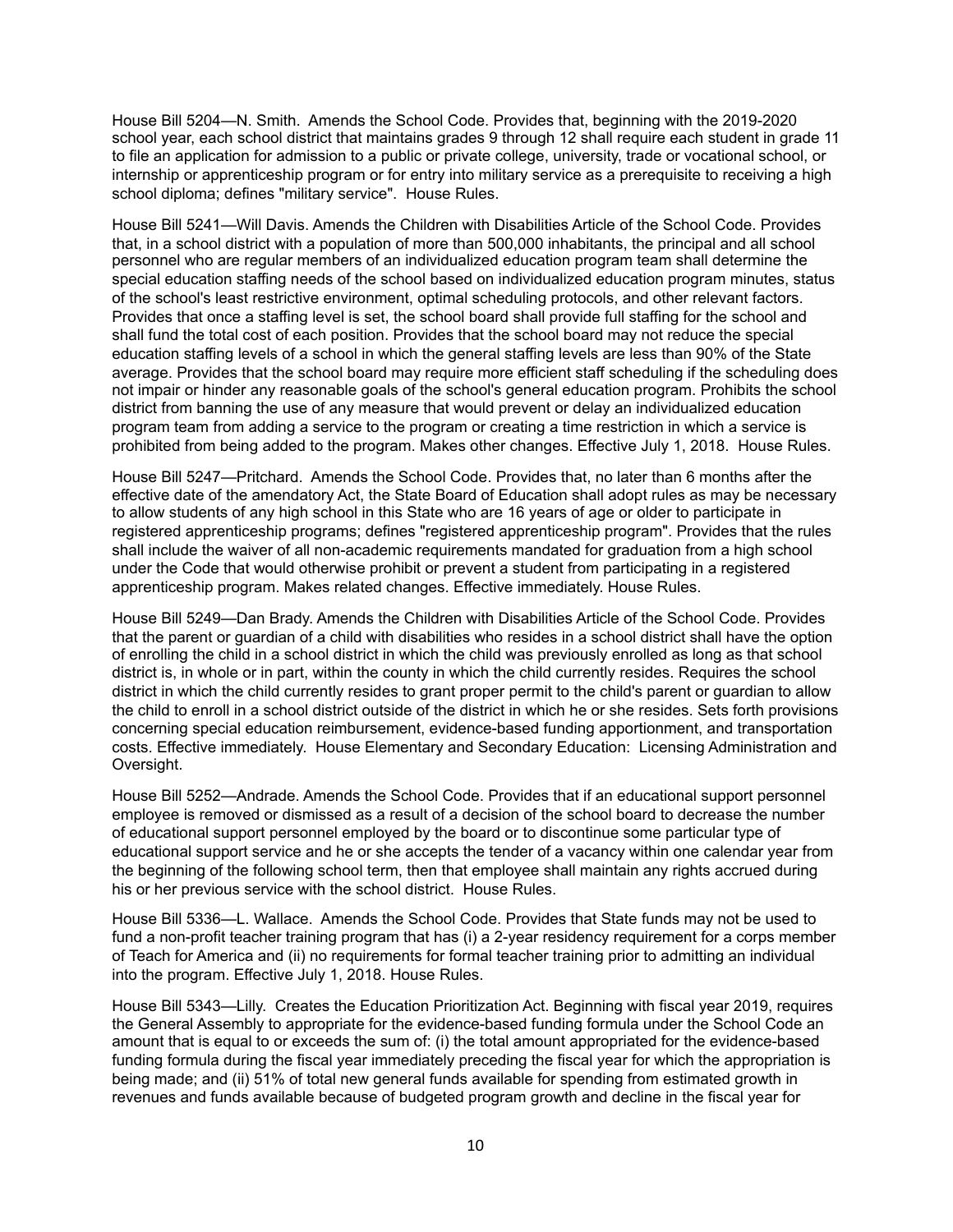House Bill 5204—N. Smith. Amends the School Code. Provides that, beginning with the 2019-2020 school year, each school district that maintains grades 9 through 12 shall require each student in grade 11 to file an application for admission to a public or private college, university, trade or vocational school, or internship or apprenticeship program or for entry into military service as a prerequisite to receiving a high school diploma; defines "military service". House Rules.

House Bill 5241—Will Davis. Amends the Children with Disabilities Article of the School Code. Provides that, in a school district with a population of more than 500,000 inhabitants, the principal and all school personnel who are regular members of an individualized education program team shall determine the special education staffing needs of the school based on individualized education program minutes, status of the school's least restrictive environment, optimal scheduling protocols, and other relevant factors. Provides that once a staffing level is set, the school board shall provide full staffing for the school and shall fund the total cost of each position. Provides that the school board may not reduce the special education staffing levels of a school in which the general staffing levels are less than 90% of the State average. Provides that the school board may require more efficient staff scheduling if the scheduling does not impair or hinder any reasonable goals of the school's general education program. Prohibits the school district from banning the use of any measure that would prevent or delay an individualized education program team from adding a service to the program or creating a time restriction in which a service is prohibited from being added to the program. Makes other changes. Effective July 1, 2018. House Rules.

House Bill 5247—Pritchard. Amends the School Code. Provides that, no later than 6 months after the effective date of the amendatory Act, the State Board of Education shall adopt rules as may be necessary to allow students of any high school in this State who are 16 years of age or older to participate in registered apprenticeship programs; defines "registered apprenticeship program". Provides that the rules shall include the waiver of all non-academic requirements mandated for graduation from a high school under the Code that would otherwise prohibit or prevent a student from participating in a registered apprenticeship program. Makes related changes. Effective immediately. House Rules.

House Bill 5249—Dan Brady. Amends the Children with Disabilities Article of the School Code. Provides that the parent or guardian of a child with disabilities who resides in a school district shall have the option of enrolling the child in a school district in which the child was previously enrolled as long as that school district is, in whole or in part, within the county in which the child currently resides. Requires the school district in which the child currently resides to grant proper permit to the child's parent or guardian to allow the child to enroll in a school district outside of the district in which he or she resides. Sets forth provisions concerning special education reimbursement, evidence-based funding apportionment, and transportation costs. Effective immediately. House Elementary and Secondary Education: Licensing Administration and Oversight.

House Bill 5252—Andrade. Amends the School Code. Provides that if an educational support personnel employee is removed or dismissed as a result of a decision of the school board to decrease the number of educational support personnel employed by the board or to discontinue some particular type of educational support service and he or she accepts the tender of a vacancy within one calendar year from the beginning of the following school term, then that employee shall maintain any rights accrued during his or her previous service with the school district. House Rules.

House Bill 5336—L. Wallace. Amends the School Code. Provides that State funds may not be used to fund a non-profit teacher training program that has (i) a 2-year residency requirement for a corps member of Teach for America and (ii) no requirements for formal teacher training prior to admitting an individual into the program. Effective July 1, 2018. House Rules.

House Bill 5343—Lilly. Creates the Education Prioritization Act. Beginning with fiscal year 2019, requires the General Assembly to appropriate for the evidence-based funding formula under the School Code an amount that is equal to or exceeds the sum of: (i) the total amount appropriated for the evidence-based funding formula during the fiscal year immediately preceding the fiscal year for which the appropriation is being made; and (ii) 51% of total new general funds available for spending from estimated growth in revenues and funds available because of budgeted program growth and decline in the fiscal year for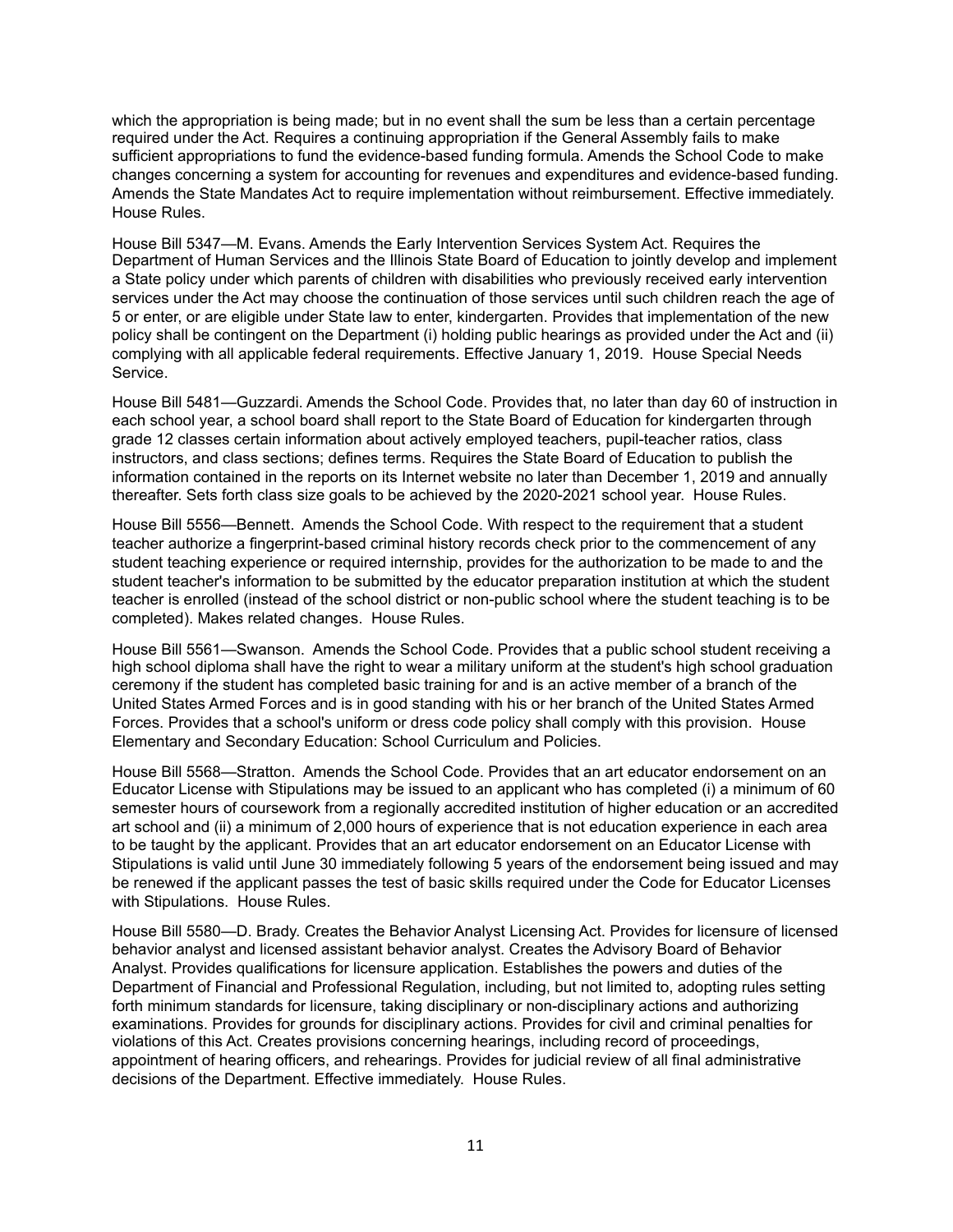which the appropriation is being made; but in no event shall the sum be less than a certain percentage required under the Act. Requires a continuing appropriation if the General Assembly fails to make sufficient appropriations to fund the evidence-based funding formula. Amends the School Code to make changes concerning a system for accounting for revenues and expenditures and evidence-based funding. Amends the State Mandates Act to require implementation without reimbursement. Effective immediately. House Rules.

House Bill 5347—M. Evans. Amends the Early Intervention Services System Act. Requires the Department of Human Services and the Illinois State Board of Education to jointly develop and implement a State policy under which parents of children with disabilities who previously received early intervention services under the Act may choose the continuation of those services until such children reach the age of 5 or enter, or are eligible under State law to enter, kindergarten. Provides that implementation of the new policy shall be contingent on the Department (i) holding public hearings as provided under the Act and (ii) complying with all applicable federal requirements. Effective January 1, 2019. House Special Needs Service.

House Bill 5481—Guzzardi. Amends the School Code. Provides that, no later than day 60 of instruction in each school year, a school board shall report to the State Board of Education for kindergarten through grade 12 classes certain information about actively employed teachers, pupil-teacher ratios, class instructors, and class sections; defines terms. Requires the State Board of Education to publish the information contained in the reports on its Internet website no later than December 1, 2019 and annually thereafter. Sets forth class size goals to be achieved by the 2020-2021 school year. House Rules.

House Bill 5556—Bennett. Amends the School Code. With respect to the requirement that a student teacher authorize a fingerprint-based criminal history records check prior to the commencement of any student teaching experience or required internship, provides for the authorization to be made to and the student teacher's information to be submitted by the educator preparation institution at which the student teacher is enrolled (instead of the school district or non-public school where the student teaching is to be completed). Makes related changes. House Rules.

House Bill 5561—Swanson. Amends the School Code. Provides that a public school student receiving a high school diploma shall have the right to wear a military uniform at the student's high school graduation ceremony if the student has completed basic training for and is an active member of a branch of the United States Armed Forces and is in good standing with his or her branch of the United States Armed Forces. Provides that a school's uniform or dress code policy shall comply with this provision. House Elementary and Secondary Education: School Curriculum and Policies.

House Bill 5568—Stratton. Amends the School Code. Provides that an art educator endorsement on an Educator License with Stipulations may be issued to an applicant who has completed (i) a minimum of 60 semester hours of coursework from a regionally accredited institution of higher education or an accredited art school and (ii) a minimum of 2,000 hours of experience that is not education experience in each area to be taught by the applicant. Provides that an art educator endorsement on an Educator License with Stipulations is valid until June 30 immediately following 5 years of the endorsement being issued and may be renewed if the applicant passes the test of basic skills required under the Code for Educator Licenses with Stipulations. House Rules.

House Bill 5580—D. Brady. Creates the Behavior Analyst Licensing Act. Provides for licensure of licensed behavior analyst and licensed assistant behavior analyst. Creates the Advisory Board of Behavior Analyst. Provides qualifications for licensure application. Establishes the powers and duties of the Department of Financial and Professional Regulation, including, but not limited to, adopting rules setting forth minimum standards for licensure, taking disciplinary or non-disciplinary actions and authorizing examinations. Provides for grounds for disciplinary actions. Provides for civil and criminal penalties for violations of this Act. Creates provisions concerning hearings, including record of proceedings, appointment of hearing officers, and rehearings. Provides for judicial review of all final administrative decisions of the Department. Effective immediately. House Rules.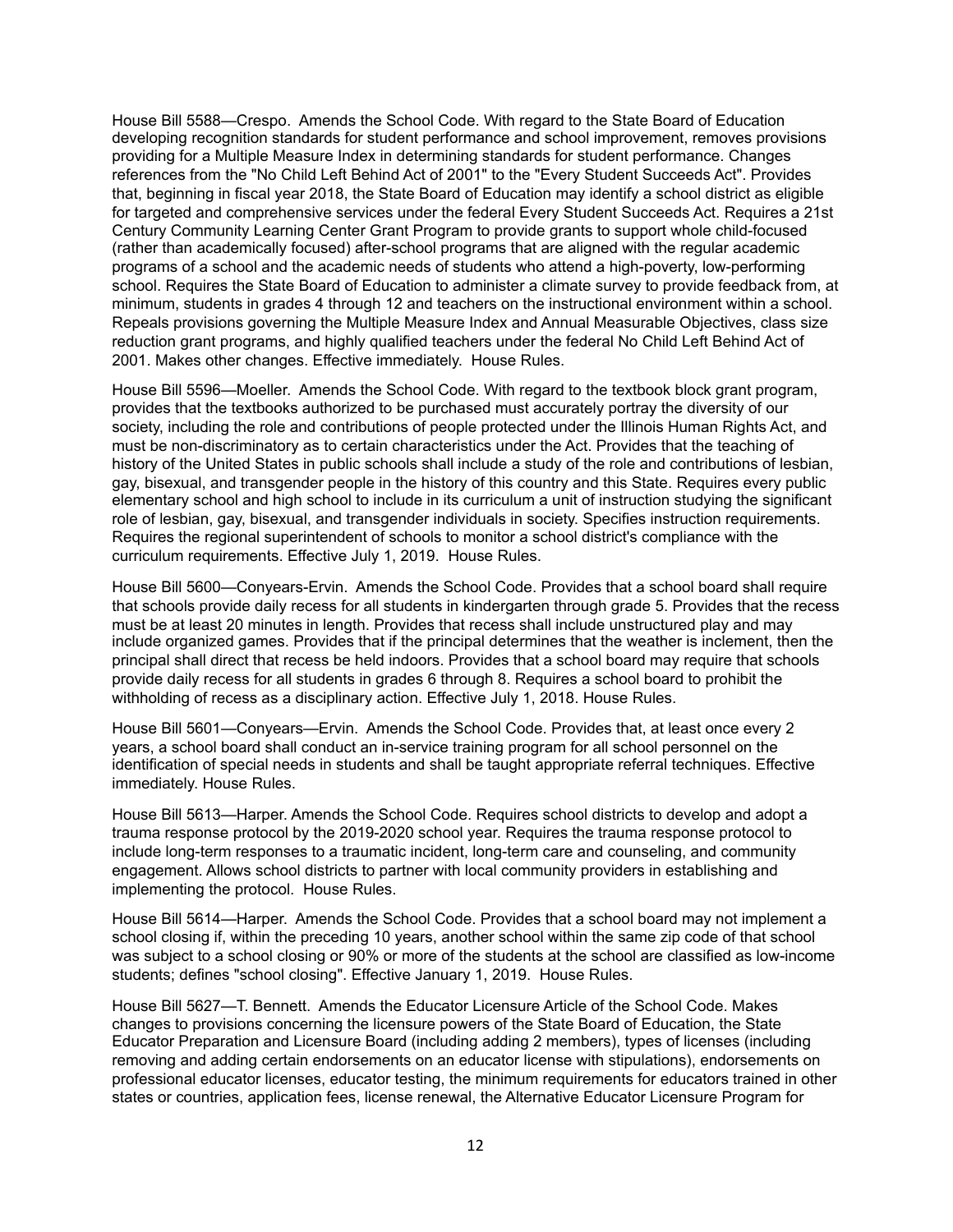House Bill 5588—Crespo. Amends the School Code. With regard to the State Board of Education developing recognition standards for student performance and school improvement, removes provisions providing for a Multiple Measure Index in determining standards for student performance. Changes references from the "No Child Left Behind Act of 2001" to the "Every Student Succeeds Act". Provides that, beginning in fiscal year 2018, the State Board of Education may identify a school district as eligible for targeted and comprehensive services under the federal Every Student Succeeds Act. Requires a 21st Century Community Learning Center Grant Program to provide grants to support whole child-focused (rather than academically focused) after-school programs that are aligned with the regular academic programs of a school and the academic needs of students who attend a high-poverty, low-performing school. Requires the State Board of Education to administer a climate survey to provide feedback from, at minimum, students in grades 4 through 12 and teachers on the instructional environment within a school. Repeals provisions governing the Multiple Measure Index and Annual Measurable Objectives, class size reduction grant programs, and highly qualified teachers under the federal No Child Left Behind Act of 2001. Makes other changes. Effective immediately. House Rules.

House Bill 5596—Moeller. Amends the School Code. With regard to the textbook block grant program, provides that the textbooks authorized to be purchased must accurately portray the diversity of our society, including the role and contributions of people protected under the Illinois Human Rights Act, and must be non-discriminatory as to certain characteristics under the Act. Provides that the teaching of history of the United States in public schools shall include a study of the role and contributions of lesbian, gay, bisexual, and transgender people in the history of this country and this State. Requires every public elementary school and high school to include in its curriculum a unit of instruction studying the significant role of lesbian, gay, bisexual, and transgender individuals in society. Specifies instruction requirements. Requires the regional superintendent of schools to monitor a school district's compliance with the curriculum requirements. Effective July 1, 2019. House Rules.

House Bill 5600—Conyears-Ervin. Amends the School Code. Provides that a school board shall require that schools provide daily recess for all students in kindergarten through grade 5. Provides that the recess must be at least 20 minutes in length. Provides that recess shall include unstructured play and may include organized games. Provides that if the principal determines that the weather is inclement, then the principal shall direct that recess be held indoors. Provides that a school board may require that schools provide daily recess for all students in grades 6 through 8. Requires a school board to prohibit the withholding of recess as a disciplinary action. Effective July 1, 2018. House Rules.

House Bill 5601—Conyears—Ervin. Amends the School Code. Provides that, at least once every 2 years, a school board shall conduct an in-service training program for all school personnel on the identification of special needs in students and shall be taught appropriate referral techniques. Effective immediately. House Rules.

House Bill 5613—Harper. Amends the School Code. Requires school districts to develop and adopt a trauma response protocol by the 2019-2020 school year. Requires the trauma response protocol to include long-term responses to a traumatic incident, long-term care and counseling, and community engagement. Allows school districts to partner with local community providers in establishing and implementing the protocol. House Rules.

House Bill 5614—Harper. Amends the School Code. Provides that a school board may not implement a school closing if, within the preceding 10 years, another school within the same zip code of that school was subject to a school closing or 90% or more of the students at the school are classified as low-income students; defines "school closing". Effective January 1, 2019. House Rules.

House Bill 5627—T. Bennett. Amends the Educator Licensure Article of the School Code. Makes changes to provisions concerning the licensure powers of the State Board of Education, the State Educator Preparation and Licensure Board (including adding 2 members), types of licenses (including removing and adding certain endorsements on an educator license with stipulations), endorsements on professional educator licenses, educator testing, the minimum requirements for educators trained in other states or countries, application fees, license renewal, the Alternative Educator Licensure Program for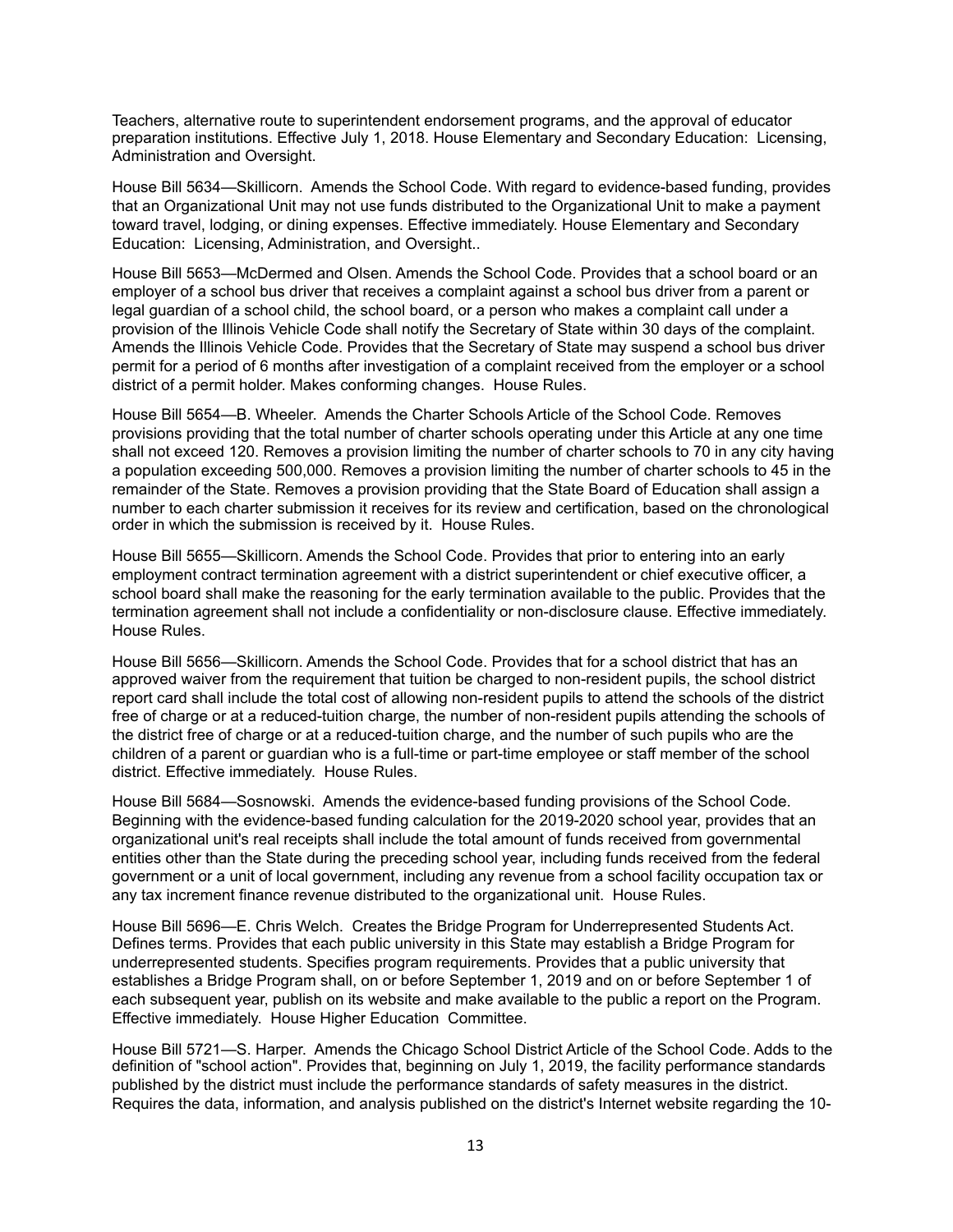Teachers, alternative route to superintendent endorsement programs, and the approval of educator preparation institutions. Effective July 1, 2018. House Elementary and Secondary Education: Licensing, Administration and Oversight.

House Bill 5634—Skillicorn. Amends the School Code. With regard to evidence-based funding, provides that an Organizational Unit may not use funds distributed to the Organizational Unit to make a payment toward travel, lodging, or dining expenses. Effective immediately. House Elementary and Secondary Education: Licensing, Administration, and Oversight..

House Bill 5653—McDermed and Olsen. Amends the School Code. Provides that a school board or an employer of a school bus driver that receives a complaint against a school bus driver from a parent or legal guardian of a school child, the school board, or a person who makes a complaint call under a provision of the Illinois Vehicle Code shall notify the Secretary of State within 30 days of the complaint. Amends the Illinois Vehicle Code. Provides that the Secretary of State may suspend a school bus driver permit for a period of 6 months after investigation of a complaint received from the employer or a school district of a permit holder. Makes conforming changes. House Rules.

House Bill 5654—B. Wheeler. Amends the Charter Schools Article of the School Code. Removes provisions providing that the total number of charter schools operating under this Article at any one time shall not exceed 120. Removes a provision limiting the number of charter schools to 70 in any city having a population exceeding 500,000. Removes a provision limiting the number of charter schools to 45 in the remainder of the State. Removes a provision providing that the State Board of Education shall assign a number to each charter submission it receives for its review and certification, based on the chronological order in which the submission is received by it. House Rules.

House Bill 5655—Skillicorn. Amends the School Code. Provides that prior to entering into an early employment contract termination agreement with a district superintendent or chief executive officer, a school board shall make the reasoning for the early termination available to the public. Provides that the termination agreement shall not include a confidentiality or non-disclosure clause. Effective immediately. House Rules.

House Bill 5656—Skillicorn. Amends the School Code. Provides that for a school district that has an approved waiver from the requirement that tuition be charged to non-resident pupils, the school district report card shall include the total cost of allowing non-resident pupils to attend the schools of the district free of charge or at a reduced-tuition charge, the number of non-resident pupils attending the schools of the district free of charge or at a reduced-tuition charge, and the number of such pupils who are the children of a parent or guardian who is a full-time or part-time employee or staff member of the school district. Effective immediately. House Rules.

House Bill 5684—Sosnowski. Amends the evidence-based funding provisions of the School Code. Beginning with the evidence-based funding calculation for the 2019-2020 school year, provides that an organizational unit's real receipts shall include the total amount of funds received from governmental entities other than the State during the preceding school year, including funds received from the federal government or a unit of local government, including any revenue from a school facility occupation tax or any tax increment finance revenue distributed to the organizational unit. House Rules.

House Bill 5696—E. Chris Welch. Creates the Bridge Program for Underrepresented Students Act. Defines terms. Provides that each public university in this State may establish a Bridge Program for underrepresented students. Specifies program requirements. Provides that a public university that establishes a Bridge Program shall, on or before September 1, 2019 and on or before September 1 of each subsequent year, publish on its website and make available to the public a report on the Program. Effective immediately. House Higher Education Committee.

House Bill 5721—S. Harper. Amends the Chicago School District Article of the School Code. Adds to the definition of "school action". Provides that, beginning on July 1, 2019, the facility performance standards published by the district must include the performance standards of safety measures in the district. Requires the data, information, and analysis published on the district's Internet website regarding the 10-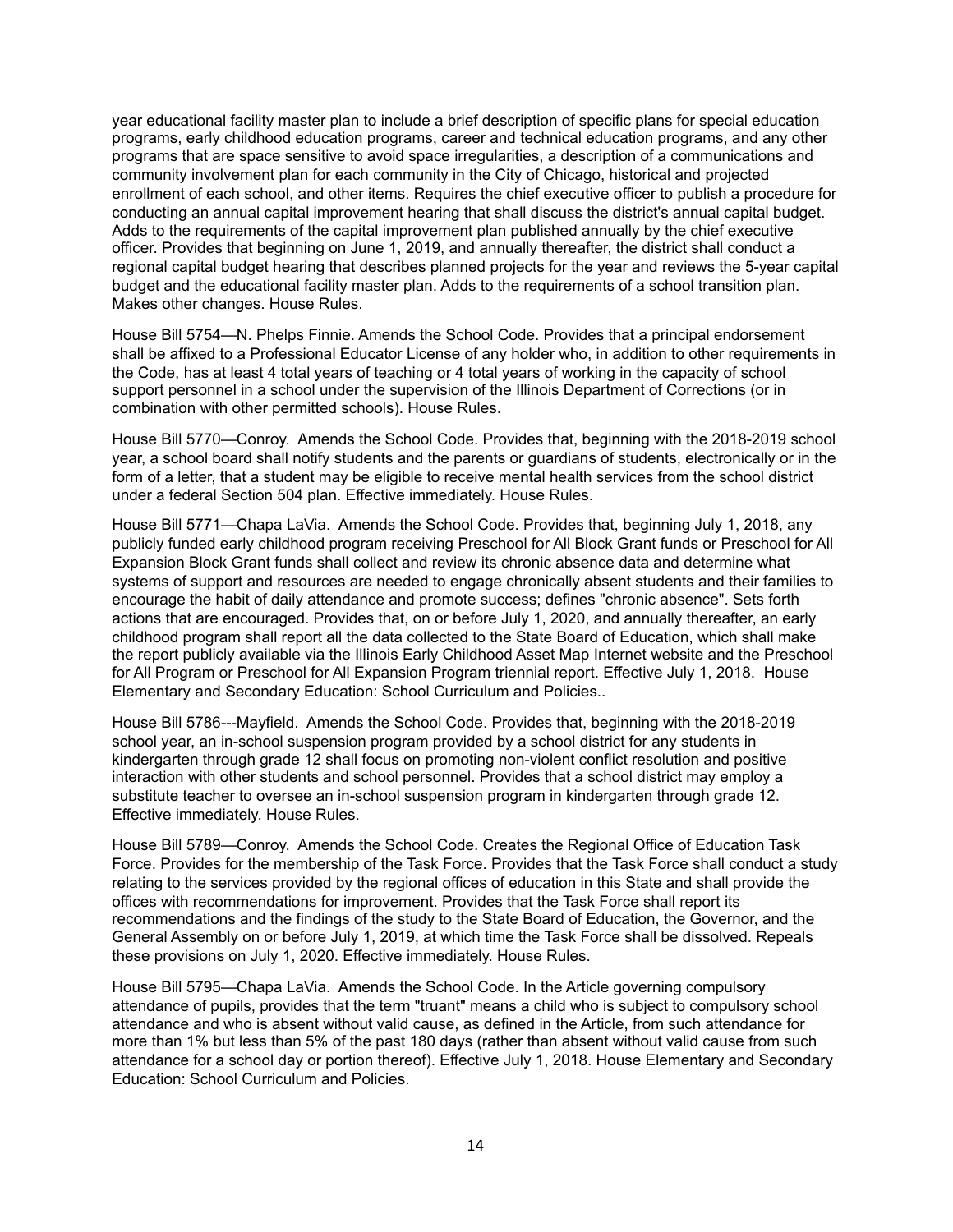year educational facility master plan to include a brief description of specific plans for special education programs, early childhood education programs, career and technical education programs, and any other programs that are space sensitive to avoid space irregularities, a description of a communications and community involvement plan for each community in the City of Chicago, historical and projected enrollment of each school, and other items. Requires the chief executive officer to publish a procedure for conducting an annual capital improvement hearing that shall discuss the district's annual capital budget. Adds to the requirements of the capital improvement plan published annually by the chief executive officer. Provides that beginning on June 1, 2019, and annually thereafter, the district shall conduct a regional capital budget hearing that describes planned projects for the year and reviews the 5-year capital budget and the educational facility master plan. Adds to the requirements of a school transition plan. Makes other changes. House Rules.

House Bill 5754—N. Phelps Finnie. Amends the School Code. Provides that a principal endorsement shall be affixed to a Professional Educator License of any holder who, in addition to other requirements in the Code, has at least 4 total years of teaching or 4 total years of working in the capacity of school support personnel in a school under the supervision of the Illinois Department of Corrections (or in combination with other permitted schools). House Rules.

House Bill 5770—Conroy. Amends the School Code. Provides that, beginning with the 2018-2019 school year, a school board shall notify students and the parents or guardians of students, electronically or in the form of a letter, that a student may be eligible to receive mental health services from the school district under a federal Section 504 plan. Effective immediately. House Rules.

House Bill 5771—Chapa LaVia. Amends the School Code. Provides that, beginning July 1, 2018, any publicly funded early childhood program receiving Preschool for All Block Grant funds or Preschool for All Expansion Block Grant funds shall collect and review its chronic absence data and determine what systems of support and resources are needed to engage chronically absent students and their families to encourage the habit of daily attendance and promote success; defines "chronic absence". Sets forth actions that are encouraged. Provides that, on or before July 1, 2020, and annually thereafter, an early childhood program shall report all the data collected to the State Board of Education, which shall make the report publicly available via the Illinois Early Childhood Asset Map Internet website and the Preschool for All Program or Preschool for All Expansion Program triennial report. Effective July 1, 2018. House Elementary and Secondary Education: School Curriculum and Policies..

House Bill 5786---Mayfield. Amends the School Code. Provides that, beginning with the 2018-2019 school year, an in-school suspension program provided by a school district for any students in kindergarten through grade 12 shall focus on promoting non-violent conflict resolution and positive interaction with other students and school personnel. Provides that a school district may employ a substitute teacher to oversee an in-school suspension program in kindergarten through grade 12. Effective immediately. House Rules.

House Bill 5789—Conroy. Amends the School Code. Creates the Regional Office of Education Task Force. Provides for the membership of the Task Force. Provides that the Task Force shall conduct a study relating to the services provided by the regional offices of education in this State and shall provide the offices with recommendations for improvement. Provides that the Task Force shall report its recommendations and the findings of the study to the State Board of Education, the Governor, and the General Assembly on or before July 1, 2019, at which time the Task Force shall be dissolved. Repeals these provisions on July 1, 2020. Effective immediately. House Rules.

House Bill 5795—Chapa LaVia. Amends the School Code. In the Article governing compulsory attendance of pupils, provides that the term "truant" means a child who is subject to compulsory school attendance and who is absent without valid cause, as defined in the Article, from such attendance for more than 1% but less than 5% of the past 180 days (rather than absent without valid cause from such attendance for a school day or portion thereof). Effective July 1, 2018. House Elementary and Secondary Education: School Curriculum and Policies.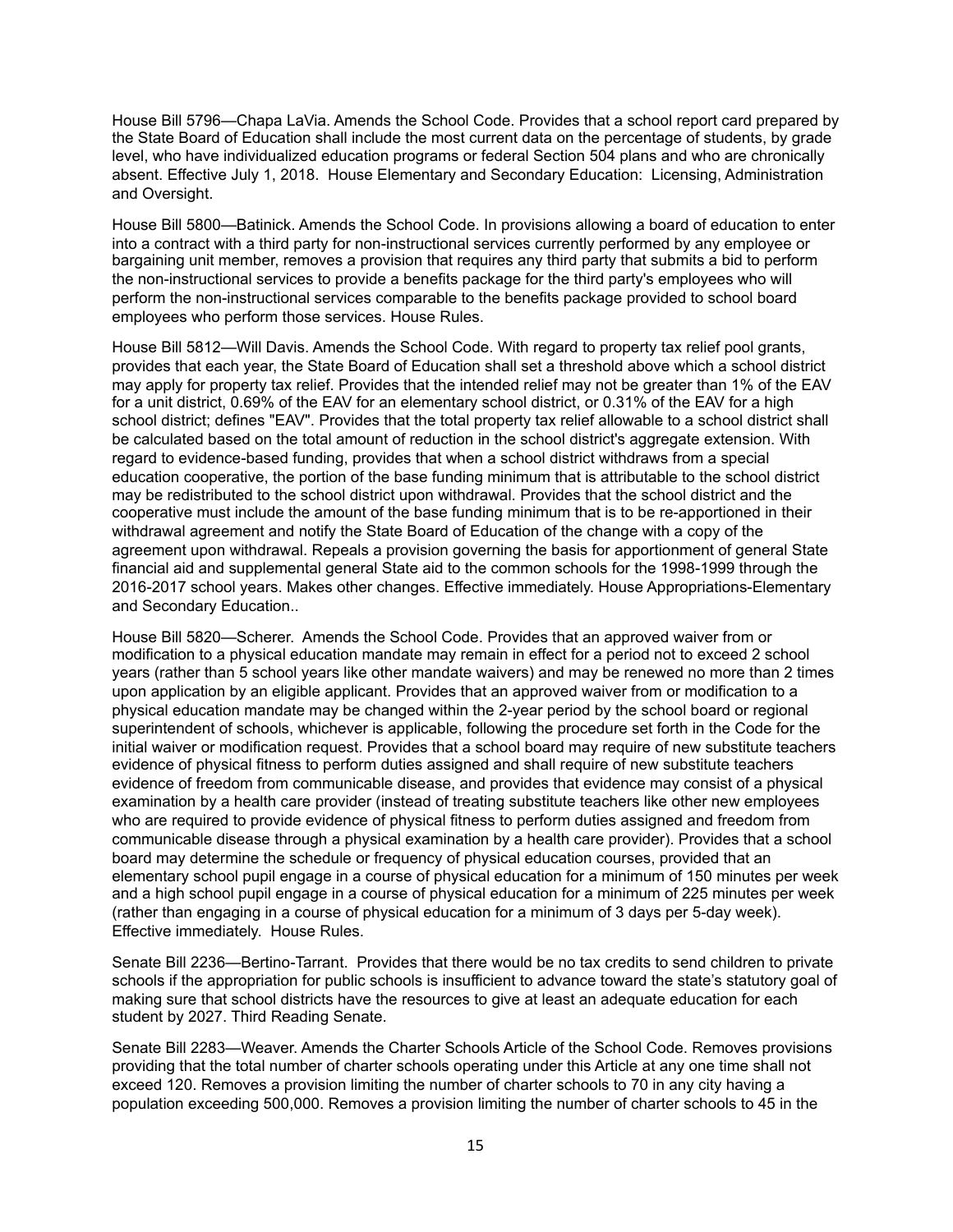House Bill 5796—Chapa LaVia. Amends the School Code. Provides that a school report card prepared by the State Board of Education shall include the most current data on the percentage of students, by grade level, who have individualized education programs or federal Section 504 plans and who are chronically absent. Effective July 1, 2018. House Elementary and Secondary Education: Licensing, Administration and Oversight.

House Bill 5800—Batinick. Amends the School Code. In provisions allowing a board of education to enter into a contract with a third party for non-instructional services currently performed by any employee or bargaining unit member, removes a provision that requires any third party that submits a bid to perform the non-instructional services to provide a benefits package for the third party's employees who will perform the non-instructional services comparable to the benefits package provided to school board employees who perform those services. House Rules.

House Bill 5812—Will Davis. Amends the School Code. With regard to property tax relief pool grants, provides that each year, the State Board of Education shall set a threshold above which a school district may apply for property tax relief. Provides that the intended relief may not be greater than 1% of the EAV for a unit district, 0.69% of the EAV for an elementary school district, or 0.31% of the EAV for a high school district; defines "EAV". Provides that the total property tax relief allowable to a school district shall be calculated based on the total amount of reduction in the school district's aggregate extension. With regard to evidence-based funding, provides that when a school district withdraws from a special education cooperative, the portion of the base funding minimum that is attributable to the school district may be redistributed to the school district upon withdrawal. Provides that the school district and the cooperative must include the amount of the base funding minimum that is to be re-apportioned in their withdrawal agreement and notify the State Board of Education of the change with a copy of the agreement upon withdrawal. Repeals a provision governing the basis for apportionment of general State financial aid and supplemental general State aid to the common schools for the 1998-1999 through the 2016-2017 school years. Makes other changes. Effective immediately. House Appropriations-Elementary and Secondary Education..

House Bill 5820—Scherer. Amends the School Code. Provides that an approved waiver from or modification to a physical education mandate may remain in effect for a period not to exceed 2 school years (rather than 5 school years like other mandate waivers) and may be renewed no more than 2 times upon application by an eligible applicant. Provides that an approved waiver from or modification to a physical education mandate may be changed within the 2-year period by the school board or regional superintendent of schools, whichever is applicable, following the procedure set forth in the Code for the initial waiver or modification request. Provides that a school board may require of new substitute teachers evidence of physical fitness to perform duties assigned and shall require of new substitute teachers evidence of freedom from communicable disease, and provides that evidence may consist of a physical examination by a health care provider (instead of treating substitute teachers like other new employees who are required to provide evidence of physical fitness to perform duties assigned and freedom from communicable disease through a physical examination by a health care provider). Provides that a school board may determine the schedule or frequency of physical education courses, provided that an elementary school pupil engage in a course of physical education for a minimum of 150 minutes per week and a high school pupil engage in a course of physical education for a minimum of 225 minutes per week (rather than engaging in a course of physical education for a minimum of 3 days per 5-day week). Effective immediately. House Rules.

Senate Bill 2236—Bertino-Tarrant. Provides that there would be no tax credits to send children to private schools if the appropriation for public schools is insufficient to advance toward the state's statutory goal of making sure that school districts have the resources to give at least an adequate education for each student by 2027. Third Reading Senate.

Senate Bill 2283—Weaver. Amends the Charter Schools Article of the School Code. Removes provisions providing that the total number of charter schools operating under this Article at any one time shall not exceed 120. Removes a provision limiting the number of charter schools to 70 in any city having a population exceeding 500,000. Removes a provision limiting the number of charter schools to 45 in the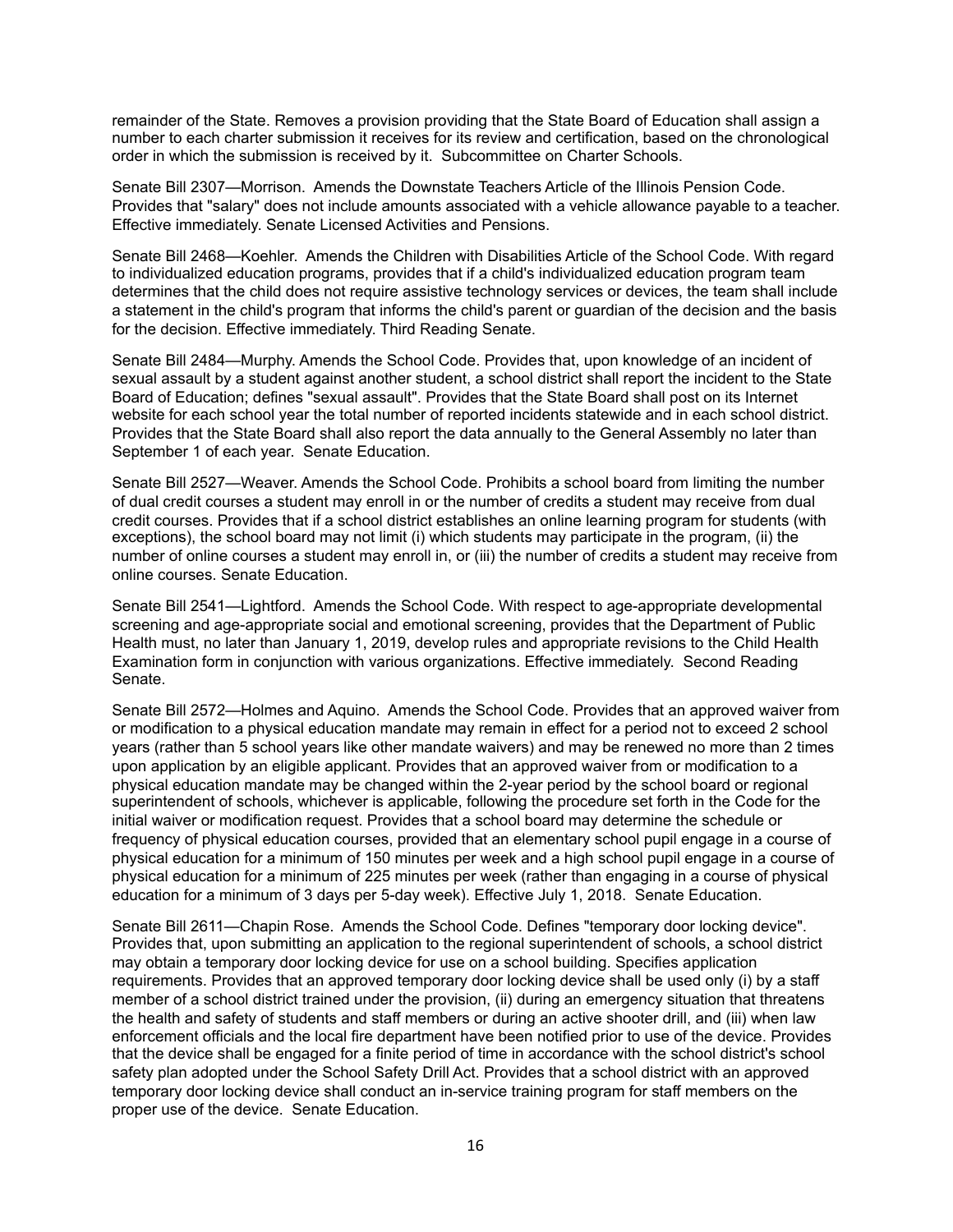remainder of the State. Removes a provision providing that the State Board of Education shall assign a number to each charter submission it receives for its review and certification, based on the chronological order in which the submission is received by it. Subcommittee on Charter Schools.

Senate Bill 2307—Morrison. Amends the Downstate Teachers Article of the Illinois Pension Code. Provides that "salary" does not include amounts associated with a vehicle allowance payable to a teacher. Effective immediately. Senate Licensed Activities and Pensions.

Senate Bill 2468—Koehler. Amends the Children with Disabilities Article of the School Code. With regard to individualized education programs, provides that if a child's individualized education program team determines that the child does not require assistive technology services or devices, the team shall include a statement in the child's program that informs the child's parent or guardian of the decision and the basis for the decision. Effective immediately. Third Reading Senate.

Senate Bill 2484—Murphy. Amends the School Code. Provides that, upon knowledge of an incident of sexual assault by a student against another student, a school district shall report the incident to the State Board of Education; defines "sexual assault". Provides that the State Board shall post on its Internet website for each school year the total number of reported incidents statewide and in each school district. Provides that the State Board shall also report the data annually to the General Assembly no later than September 1 of each year. Senate Education.

Senate Bill 2527—Weaver. Amends the School Code. Prohibits a school board from limiting the number of dual credit courses a student may enroll in or the number of credits a student may receive from dual credit courses. Provides that if a school district establishes an online learning program for students (with exceptions), the school board may not limit (i) which students may participate in the program, (ii) the number of online courses a student may enroll in, or (iii) the number of credits a student may receive from online courses. Senate Education.

Senate Bill 2541—Lightford. Amends the School Code. With respect to age-appropriate developmental screening and age-appropriate social and emotional screening, provides that the Department of Public Health must, no later than January 1, 2019, develop rules and appropriate revisions to the Child Health Examination form in conjunction with various organizations. Effective immediately. Second Reading Senate.

Senate Bill 2572—Holmes and Aquino. Amends the School Code. Provides that an approved waiver from or modification to a physical education mandate may remain in effect for a period not to exceed 2 school years (rather than 5 school years like other mandate waivers) and may be renewed no more than 2 times upon application by an eligible applicant. Provides that an approved waiver from or modification to a physical education mandate may be changed within the 2-year period by the school board or regional superintendent of schools, whichever is applicable, following the procedure set forth in the Code for the initial waiver or modification request. Provides that a school board may determine the schedule or frequency of physical education courses, provided that an elementary school pupil engage in a course of physical education for a minimum of 150 minutes per week and a high school pupil engage in a course of physical education for a minimum of 225 minutes per week (rather than engaging in a course of physical education for a minimum of 3 days per 5-day week). Effective July 1, 2018. Senate Education.

Senate Bill 2611—Chapin Rose. Amends the School Code. Defines "temporary door locking device". Provides that, upon submitting an application to the regional superintendent of schools, a school district may obtain a temporary door locking device for use on a school building. Specifies application requirements. Provides that an approved temporary door locking device shall be used only (i) by a staff member of a school district trained under the provision, (ii) during an emergency situation that threatens the health and safety of students and staff members or during an active shooter drill, and (iii) when law enforcement officials and the local fire department have been notified prior to use of the device. Provides that the device shall be engaged for a finite period of time in accordance with the school district's school safety plan adopted under the School Safety Drill Act. Provides that a school district with an approved temporary door locking device shall conduct an in-service training program for staff members on the proper use of the device. Senate Education.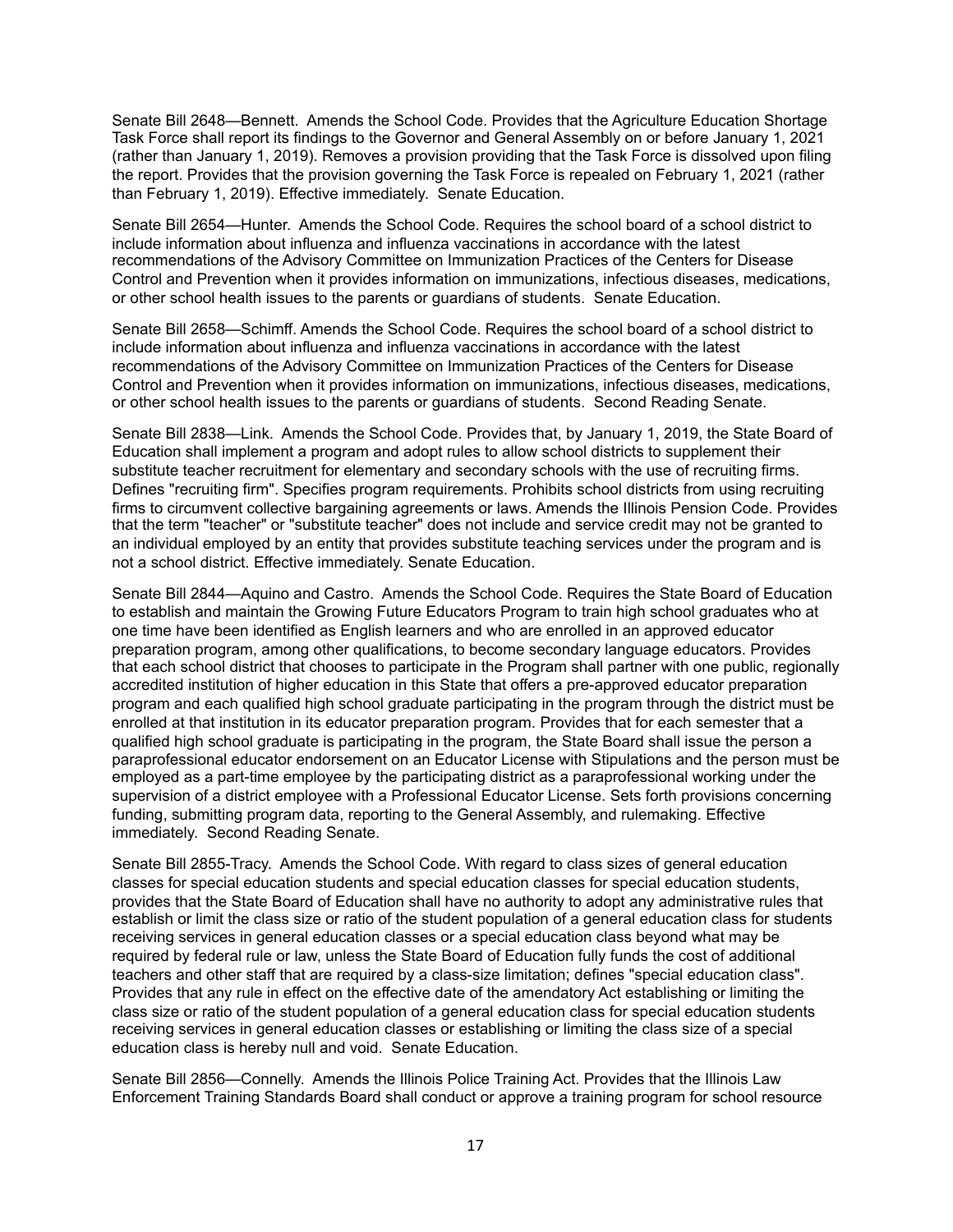Senate Bill 2648—Bennett. Amends the School Code. Provides that the Agriculture Education Shortage Task Force shall report its findings to the Governor and General Assembly on or before January 1, 2021 (rather than January 1, 2019). Removes a provision providing that the Task Force is dissolved upon filing the report. Provides that the provision governing the Task Force is repealed on February 1, 2021 (rather than February 1, 2019). Effective immediately. Senate Education.

Senate Bill 2654—Hunter. Amends the School Code. Requires the school board of a school district to include information about influenza and influenza vaccinations in accordance with the latest recommendations of the Advisory Committee on Immunization Practices of the Centers for Disease Control and Prevention when it provides information on immunizations, infectious diseases, medications, or other school health issues to the parents or guardians of students. Senate Education.

Senate Bill 2658—Schimff. Amends the School Code. Requires the school board of a school district to include information about influenza and influenza vaccinations in accordance with the latest recommendations of the Advisory Committee on Immunization Practices of the Centers for Disease Control and Prevention when it provides information on immunizations, infectious diseases, medications, or other school health issues to the parents or guardians of students. Second Reading Senate.

Senate Bill 2838—Link. Amends the School Code. Provides that, by January 1, 2019, the State Board of Education shall implement a program and adopt rules to allow school districts to supplement their substitute teacher recruitment for elementary and secondary schools with the use of recruiting firms. Defines "recruiting firm". Specifies program requirements. Prohibits school districts from using recruiting firms to circumvent collective bargaining agreements or laws. Amends the Illinois Pension Code. Provides that the term "teacher" or "substitute teacher" does not include and service credit may not be granted to an individual employed by an entity that provides substitute teaching services under the program and is not a school district. Effective immediately. Senate Education.

Senate Bill 2844—Aquino and Castro. Amends the School Code. Requires the State Board of Education to establish and maintain the Growing Future Educators Program to train high school graduates who at one time have been identified as English learners and who are enrolled in an approved educator preparation program, among other qualifications, to become secondary language educators. Provides that each school district that chooses to participate in the Program shall partner with one public, regionally accredited institution of higher education in this State that offers a pre-approved educator preparation program and each qualified high school graduate participating in the program through the district must be enrolled at that institution in its educator preparation program. Provides that for each semester that a qualified high school graduate is participating in the program, the State Board shall issue the person a paraprofessional educator endorsement on an Educator License with Stipulations and the person must be employed as a part-time employee by the participating district as a paraprofessional working under the supervision of a district employee with a Professional Educator License. Sets forth provisions concerning funding, submitting program data, reporting to the General Assembly, and rulemaking. Effective immediately. Second Reading Senate.

Senate Bill 2855-Tracy. Amends the School Code. With regard to class sizes of general education classes for special education students and special education classes for special education students, provides that the State Board of Education shall have no authority to adopt any administrative rules that establish or limit the class size or ratio of the student population of a general education class for students receiving services in general education classes or a special education class beyond what may be required by federal rule or law, unless the State Board of Education fully funds the cost of additional teachers and other staff that are required by a class-size limitation; defines "special education class". Provides that any rule in effect on the effective date of the amendatory Act establishing or limiting the class size or ratio of the student population of a general education class for special education students receiving services in general education classes or establishing or limiting the class size of a special education class is hereby null and void. Senate Education.

Senate Bill 2856—Connelly. Amends the Illinois Police Training Act. Provides that the Illinois Law Enforcement Training Standards Board shall conduct or approve a training program for school resource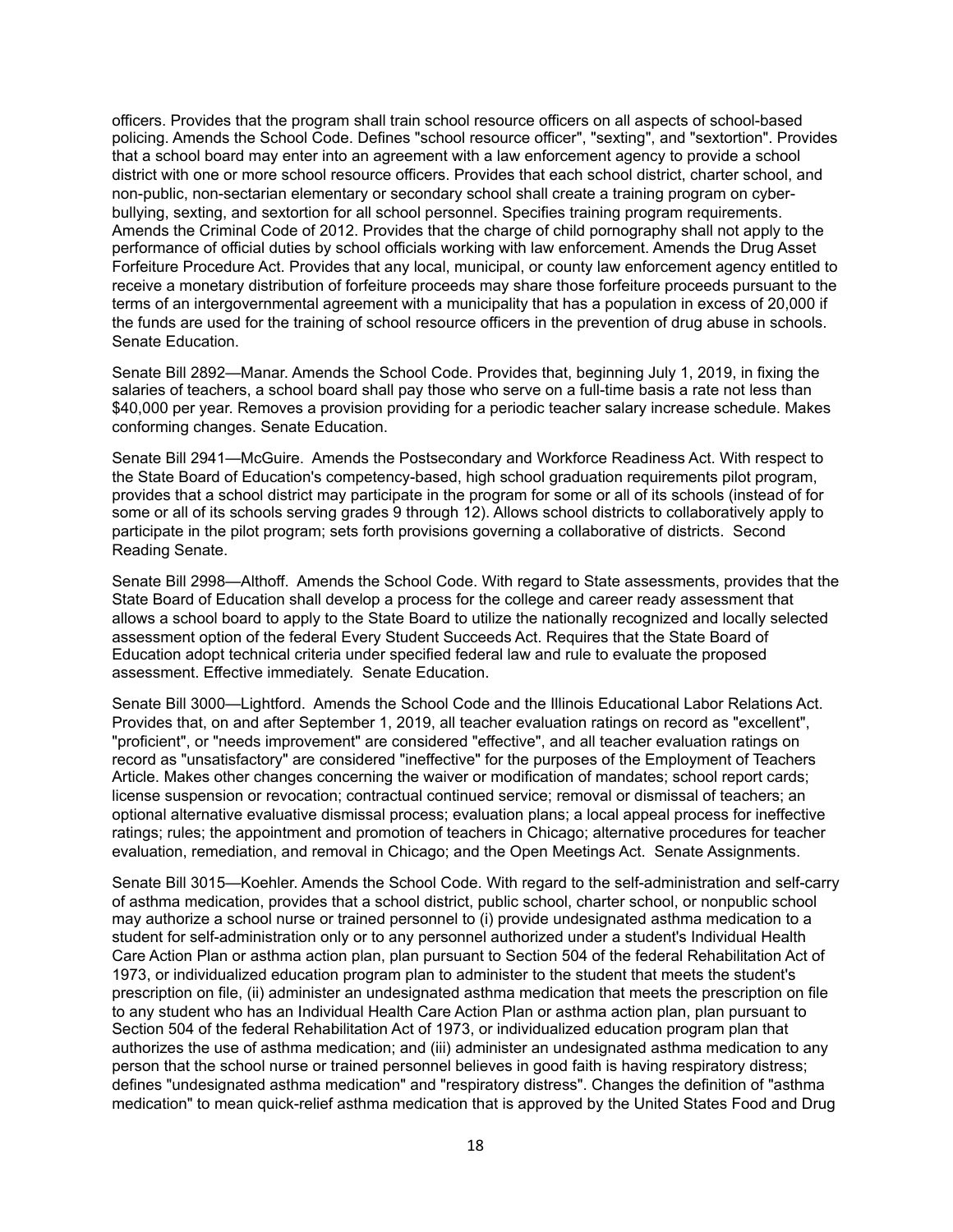officers. Provides that the program shall train school resource officers on all aspects of school-based policing. Amends the School Code. Defines "school resource officer", "sexting", and "sextortion". Provides that a school board may enter into an agreement with a law enforcement agency to provide a school district with one or more school resource officers. Provides that each school district, charter school, and non-public, non-sectarian elementary or secondary school shall create a training program on cyberbullying, sexting, and sextortion for all school personnel. Specifies training program requirements. Amends the Criminal Code of 2012. Provides that the charge of child pornography shall not apply to the performance of official duties by school officials working with law enforcement. Amends the Drug Asset Forfeiture Procedure Act. Provides that any local, municipal, or county law enforcement agency entitled to receive a monetary distribution of forfeiture proceeds may share those forfeiture proceeds pursuant to the terms of an intergovernmental agreement with a municipality that has a population in excess of 20,000 if the funds are used for the training of school resource officers in the prevention of drug abuse in schools. Senate Education.

Senate Bill 2892—Manar. Amends the School Code. Provides that, beginning July 1, 2019, in fixing the salaries of teachers, a school board shall pay those who serve on a full-time basis a rate not less than \$40,000 per year. Removes a provision providing for a periodic teacher salary increase schedule. Makes conforming changes. Senate Education.

Senate Bill 2941—McGuire. Amends the Postsecondary and Workforce Readiness Act. With respect to the State Board of Education's competency-based, high school graduation requirements pilot program, provides that a school district may participate in the program for some or all of its schools (instead of for some or all of its schools serving grades 9 through 12). Allows school districts to collaboratively apply to participate in the pilot program; sets forth provisions governing a collaborative of districts. Second Reading Senate.

Senate Bill 2998—Althoff. Amends the School Code. With regard to State assessments, provides that the State Board of Education shall develop a process for the college and career ready assessment that allows a school board to apply to the State Board to utilize the nationally recognized and locally selected assessment option of the federal Every Student Succeeds Act. Requires that the State Board of Education adopt technical criteria under specified federal law and rule to evaluate the proposed assessment. Effective immediately. Senate Education.

Senate Bill 3000—Lightford. Amends the School Code and the Illinois Educational Labor Relations Act. Provides that, on and after September 1, 2019, all teacher evaluation ratings on record as "excellent", "proficient", or "needs improvement" are considered "effective", and all teacher evaluation ratings on record as "unsatisfactory" are considered "ineffective" for the purposes of the Employment of Teachers Article. Makes other changes concerning the waiver or modification of mandates; school report cards; license suspension or revocation; contractual continued service; removal or dismissal of teachers; an optional alternative evaluative dismissal process; evaluation plans; a local appeal process for ineffective ratings; rules; the appointment and promotion of teachers in Chicago; alternative procedures for teacher evaluation, remediation, and removal in Chicago; and the Open Meetings Act. Senate Assignments.

Senate Bill 3015—Koehler. Amends the School Code. With regard to the self-administration and self-carry of asthma medication, provides that a school district, public school, charter school, or nonpublic school may authorize a school nurse or trained personnel to (i) provide undesignated asthma medication to a student for self-administration only or to any personnel authorized under a student's Individual Health Care Action Plan or asthma action plan, plan pursuant to Section 504 of the federal Rehabilitation Act of 1973, or individualized education program plan to administer to the student that meets the student's prescription on file, (ii) administer an undesignated asthma medication that meets the prescription on file to any student who has an Individual Health Care Action Plan or asthma action plan, plan pursuant to Section 504 of the federal Rehabilitation Act of 1973, or individualized education program plan that authorizes the use of asthma medication; and (iii) administer an undesignated asthma medication to any person that the school nurse or trained personnel believes in good faith is having respiratory distress; defines "undesignated asthma medication" and "respiratory distress". Changes the definition of "asthma medication" to mean quick-relief asthma medication that is approved by the United States Food and Drug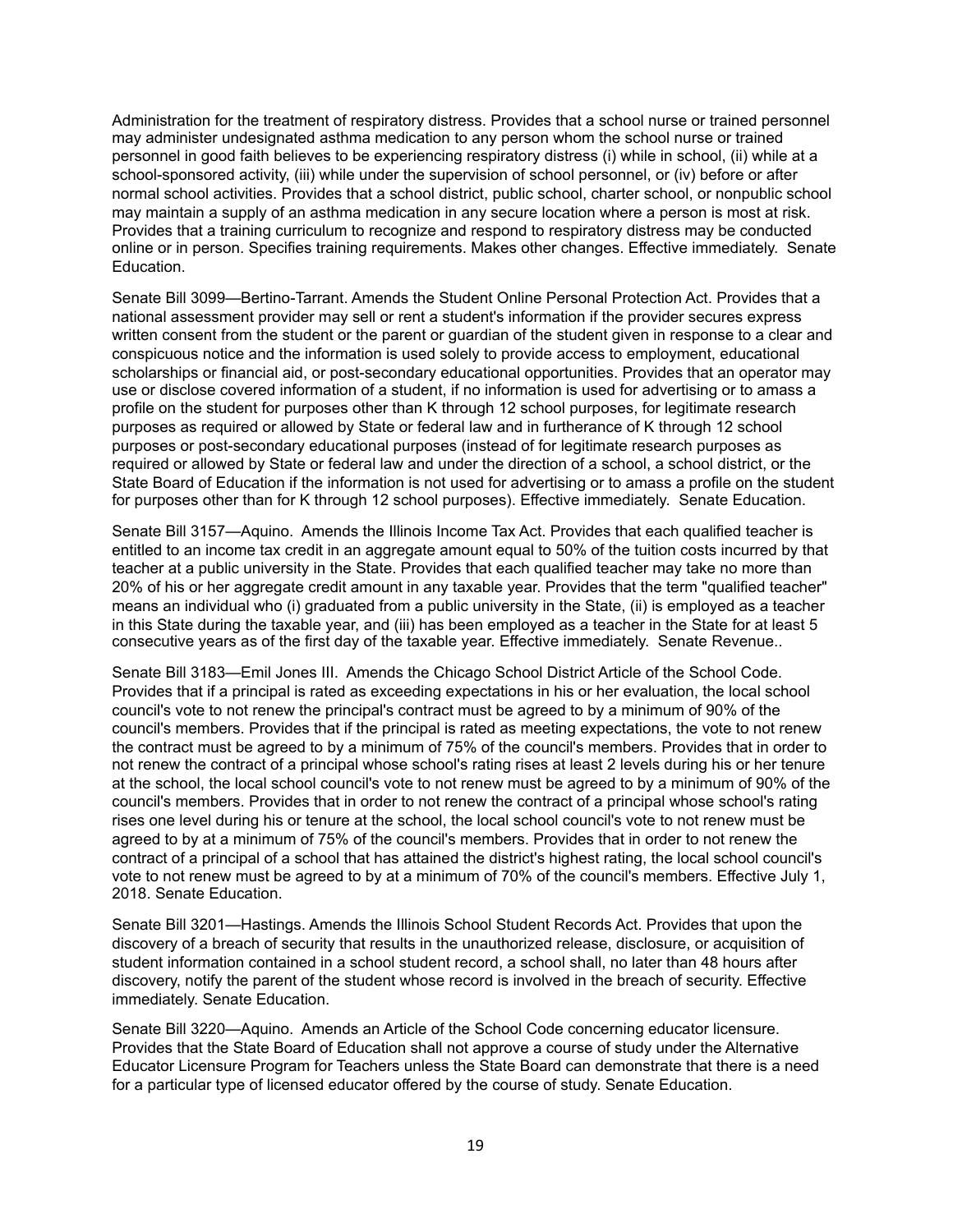Administration for the treatment of respiratory distress. Provides that a school nurse or trained personnel may administer undesignated asthma medication to any person whom the school nurse or trained personnel in good faith believes to be experiencing respiratory distress (i) while in school, (ii) while at a school-sponsored activity, (iii) while under the supervision of school personnel, or (iv) before or after normal school activities. Provides that a school district, public school, charter school, or nonpublic school may maintain a supply of an asthma medication in any secure location where a person is most at risk. Provides that a training curriculum to recognize and respond to respiratory distress may be conducted online or in person. Specifies training requirements. Makes other changes. Effective immediately. Senate Education.

Senate Bill 3099—Bertino-Tarrant. Amends the Student Online Personal Protection Act. Provides that a national assessment provider may sell or rent a student's information if the provider secures express written consent from the student or the parent or guardian of the student given in response to a clear and conspicuous notice and the information is used solely to provide access to employment, educational scholarships or financial aid, or post-secondary educational opportunities. Provides that an operator may use or disclose covered information of a student, if no information is used for advertising or to amass a profile on the student for purposes other than K through 12 school purposes, for legitimate research purposes as required or allowed by State or federal law and in furtherance of K through 12 school purposes or post-secondary educational purposes (instead of for legitimate research purposes as required or allowed by State or federal law and under the direction of a school, a school district, or the State Board of Education if the information is not used for advertising or to amass a profile on the student for purposes other than for K through 12 school purposes). Effective immediately. Senate Education.

Senate Bill 3157—Aquino. Amends the Illinois Income Tax Act. Provides that each qualified teacher is entitled to an income tax credit in an aggregate amount equal to 50% of the tuition costs incurred by that teacher at a public university in the State. Provides that each qualified teacher may take no more than 20% of his or her aggregate credit amount in any taxable year. Provides that the term "qualified teacher" means an individual who (i) graduated from a public university in the State, (ii) is employed as a teacher in this State during the taxable year, and (iii) has been employed as a teacher in the State for at least 5 consecutive years as of the first day of the taxable year. Effective immediately. Senate Revenue..

Senate Bill 3183—Emil Jones III. Amends the Chicago School District Article of the School Code. Provides that if a principal is rated as exceeding expectations in his or her evaluation, the local school council's vote to not renew the principal's contract must be agreed to by a minimum of 90% of the council's members. Provides that if the principal is rated as meeting expectations, the vote to not renew the contract must be agreed to by a minimum of 75% of the council's members. Provides that in order to not renew the contract of a principal whose school's rating rises at least 2 levels during his or her tenure at the school, the local school council's vote to not renew must be agreed to by a minimum of 90% of the council's members. Provides that in order to not renew the contract of a principal whose school's rating rises one level during his or tenure at the school, the local school council's vote to not renew must be agreed to by at a minimum of 75% of the council's members. Provides that in order to not renew the contract of a principal of a school that has attained the district's highest rating, the local school council's vote to not renew must be agreed to by at a minimum of 70% of the council's members. Effective July 1, 2018. Senate Education.

Senate Bill 3201—Hastings. Amends the Illinois School Student Records Act. Provides that upon the discovery of a breach of security that results in the unauthorized release, disclosure, or acquisition of student information contained in a school student record, a school shall, no later than 48 hours after discovery, notify the parent of the student whose record is involved in the breach of security. Effective immediately. Senate Education.

Senate Bill 3220—Aquino. Amends an Article of the School Code concerning educator licensure. Provides that the State Board of Education shall not approve a course of study under the Alternative Educator Licensure Program for Teachers unless the State Board can demonstrate that there is a need for a particular type of licensed educator offered by the course of study. Senate Education.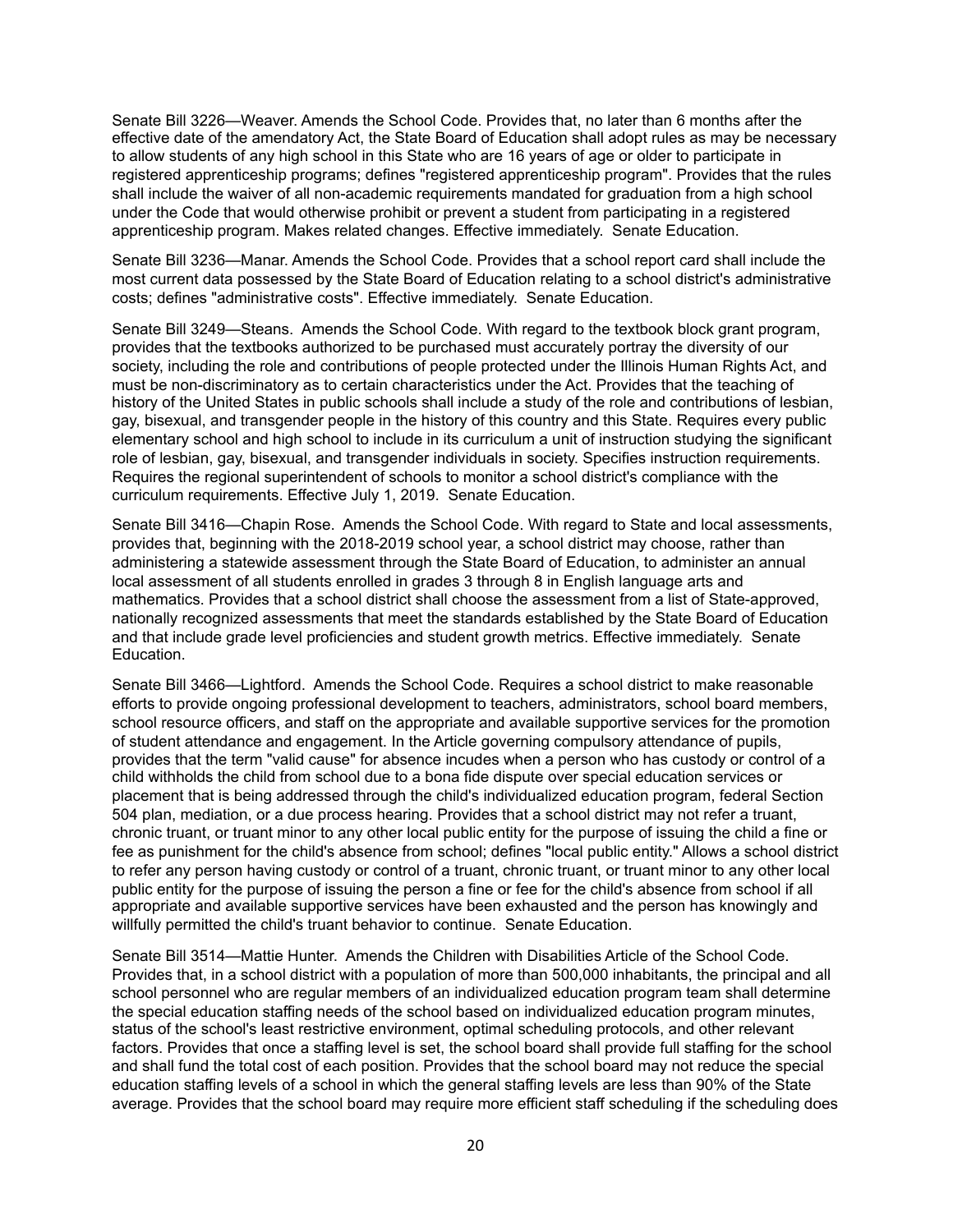Senate Bill 3226—Weaver. Amends the School Code. Provides that, no later than 6 months after the effective date of the amendatory Act, the State Board of Education shall adopt rules as may be necessary to allow students of any high school in this State who are 16 years of age or older to participate in registered apprenticeship programs; defines "registered apprenticeship program". Provides that the rules shall include the waiver of all non-academic requirements mandated for graduation from a high school under the Code that would otherwise prohibit or prevent a student from participating in a registered apprenticeship program. Makes related changes. Effective immediately. Senate Education.

Senate Bill 3236—Manar. Amends the School Code. Provides that a school report card shall include the most current data possessed by the State Board of Education relating to a school district's administrative costs; defines "administrative costs". Effective immediately. Senate Education.

Senate Bill 3249—Steans. Amends the School Code. With regard to the textbook block grant program, provides that the textbooks authorized to be purchased must accurately portray the diversity of our society, including the role and contributions of people protected under the Illinois Human Rights Act, and must be non-discriminatory as to certain characteristics under the Act. Provides that the teaching of history of the United States in public schools shall include a study of the role and contributions of lesbian, gay, bisexual, and transgender people in the history of this country and this State. Requires every public elementary school and high school to include in its curriculum a unit of instruction studying the significant role of lesbian, gay, bisexual, and transgender individuals in society. Specifies instruction requirements. Requires the regional superintendent of schools to monitor a school district's compliance with the curriculum requirements. Effective July 1, 2019. Senate Education.

Senate Bill 3416—Chapin Rose. Amends the School Code. With regard to State and local assessments, provides that, beginning with the 2018-2019 school year, a school district may choose, rather than administering a statewide assessment through the State Board of Education, to administer an annual local assessment of all students enrolled in grades 3 through 8 in English language arts and mathematics. Provides that a school district shall choose the assessment from a list of State-approved, nationally recognized assessments that meet the standards established by the State Board of Education and that include grade level proficiencies and student growth metrics. Effective immediately. Senate Education.

Senate Bill 3466—Lightford. Amends the School Code. Requires a school district to make reasonable efforts to provide ongoing professional development to teachers, administrators, school board members, school resource officers, and staff on the appropriate and available supportive services for the promotion of student attendance and engagement. In the Article governing compulsory attendance of pupils, provides that the term "valid cause" for absence incudes when a person who has custody or control of a child withholds the child from school due to a bona fide dispute over special education services or placement that is being addressed through the child's individualized education program, federal Section 504 plan, mediation, or a due process hearing. Provides that a school district may not refer a truant, chronic truant, or truant minor to any other local public entity for the purpose of issuing the child a fine or fee as punishment for the child's absence from school; defines "local public entity." Allows a school district to refer any person having custody or control of a truant, chronic truant, or truant minor to any other local public entity for the purpose of issuing the person a fine or fee for the child's absence from school if all appropriate and available supportive services have been exhausted and the person has knowingly and willfully permitted the child's truant behavior to continue. Senate Education.

Senate Bill 3514—Mattie Hunter. Amends the Children with Disabilities Article of the School Code. Provides that, in a school district with a population of more than 500,000 inhabitants, the principal and all school personnel who are regular members of an individualized education program team shall determine the special education staffing needs of the school based on individualized education program minutes, status of the school's least restrictive environment, optimal scheduling protocols, and other relevant factors. Provides that once a staffing level is set, the school board shall provide full staffing for the school and shall fund the total cost of each position. Provides that the school board may not reduce the special education staffing levels of a school in which the general staffing levels are less than 90% of the State average. Provides that the school board may require more efficient staff scheduling if the scheduling does